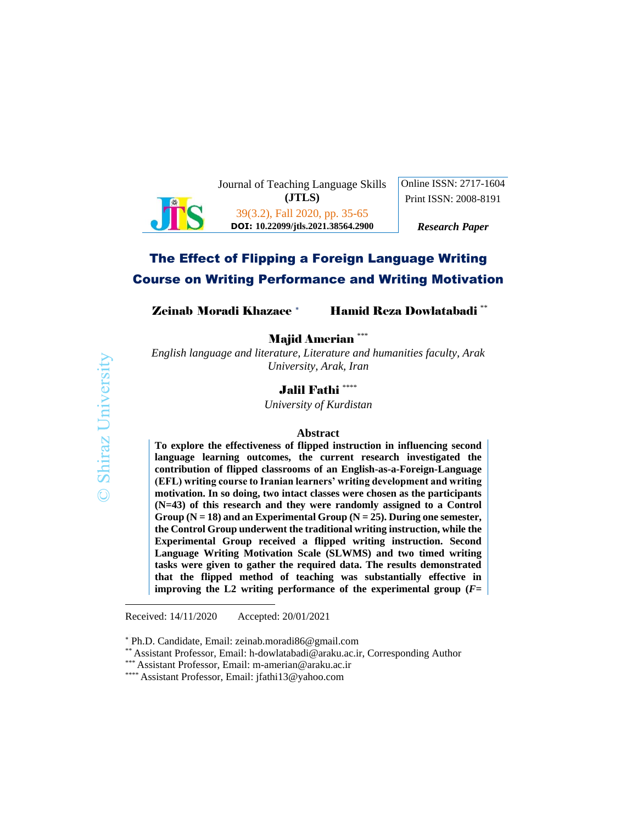

Journal of Teaching Language Skills **(JTLS)**

Online ISSN: 2717-1604 Print ISSN: 2008-8191

39(3.2), Fall 2020, pp. 35-65 **DOI: 10.22099/jtls.2021.38564.2900**

*Research Paper*

# The Effect of Flipping a Foreign Language Writing Course on Writing Performance and Writing Motivation

**Zeinab Moradi Khazaee \* Hamid Reza Dowlatabadi \*\*** 

Majid Amerian \*\*\*

*English language and literature, Literature and humanities faculty, Arak University, Arak, Iran*

# Jalil Fathi \*\*\*\*

*University of Kurdistan*

#### **Abstract**

**To explore the effectiveness of flipped instruction in influencing second language learning outcomes, the current research investigated the contribution of flipped classrooms of an English-as-a-Foreign-Language (EFL) writing course to Iranian learners' writing development and writing motivation. In so doing, two intact classes were chosen as the participants (N=43) of this research and they were randomly assigned to a Control Group (N = 18) and an Experimental Group (N = 25). During one semester, the Control Group underwent the traditional writing instruction, while the Experimental Group received a flipped writing instruction. Second Language Writing Motivation Scale (SLWMS) and two timed writing tasks were given to gather the required data. The results demonstrated that the flipped method of teaching was substantially effective in improving the L2 writing performance of the experimental group**  $(F =$ 

Received: 14/11/2020 Accepted: 20/01/2021

 $\overline{a}$ 

Ph.D. Candidate, Email: zeinab.moradi86@gmail.com

<sup>\*\*</sup> Assistant Professor, Email: h-dowlatabadi@araku.ac.ir, Corresponding Author

<sup>\*\*\*</sup> Assistant Professor, Email: m-amerian@araku.ac.ir

<sup>\*\*\*\*</sup> Assistant Professor, Email: jfathi13@yahoo.com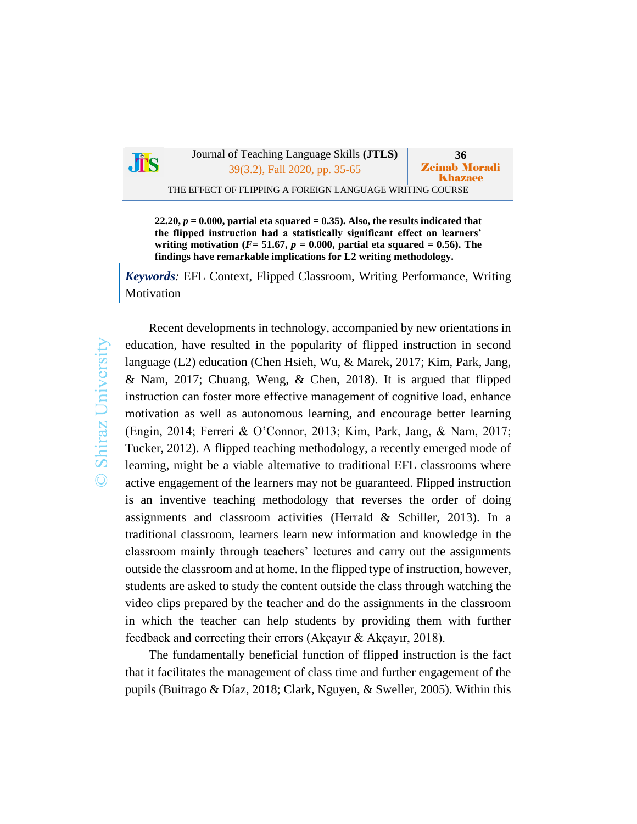

Journal of Teaching Language Skills **(JTLS) 36** 39(3.2), Fall 2020, pp. 35-65 **Zeinab Morad** 

THE EFFECT OF FLIPPING A FOREIGN LANGUAGE WRITING COURSE

Khazaee

**22.20,** *p* **= 0.000, partial eta squared = 0.35). Also, the results indicated that the flipped instruction had a statistically significant effect on learners' writing motivation** ( $F = 51.67$ ,  $p = 0.000$ , partial eta squared = 0.56). The **findings have remarkable implications for L2 writing methodology.** 

*Keywords:* EFL Context, Flipped Classroom, Writing Performance, Writing Motivation

Recent developments in technology, accompanied by new orientations in education, have resulted in the popularity of flipped instruction in second language (L2) education (Chen Hsieh, Wu, & Marek, 2017; Kim, Park, Jang, & Nam, 2017; Chuang, Weng, & Chen, 2018). It is argued that flipped instruction can foster more effective management of cognitive load, enhance motivation as well as autonomous learning, and encourage better learning (Engin, 2014; Ferreri & O'Connor, 2013; Kim, Park, Jang, & Nam, 2017; Tucker, 2012). A flipped teaching methodology, a recently emerged mode of learning, might be a viable alternative to traditional EFL classrooms where active engagement of the learners may not be guaranteed. Flipped instruction is an inventive teaching methodology that reverses the order of doing assignments and classroom activities (Herrald & Schiller, 2013). In a traditional classroom, learners learn new information and knowledge in the classroom mainly through teachers' lectures and carry out the assignments outside the classroom and at home. In the flipped type of instruction, however, students are asked to study the content outside the class through watching the video clips prepared by the teacher and do the assignments in the classroom in which the teacher can help students by providing them with further feedback and correcting their errors (Akçayır & Akçayır, 2018).

The fundamentally beneficial function of flipped instruction is the fact that it facilitates the management of class time and further engagement of the pupils (Buitrago & Díaz, 2018; Clark, Nguyen, & Sweller, 2005). Within this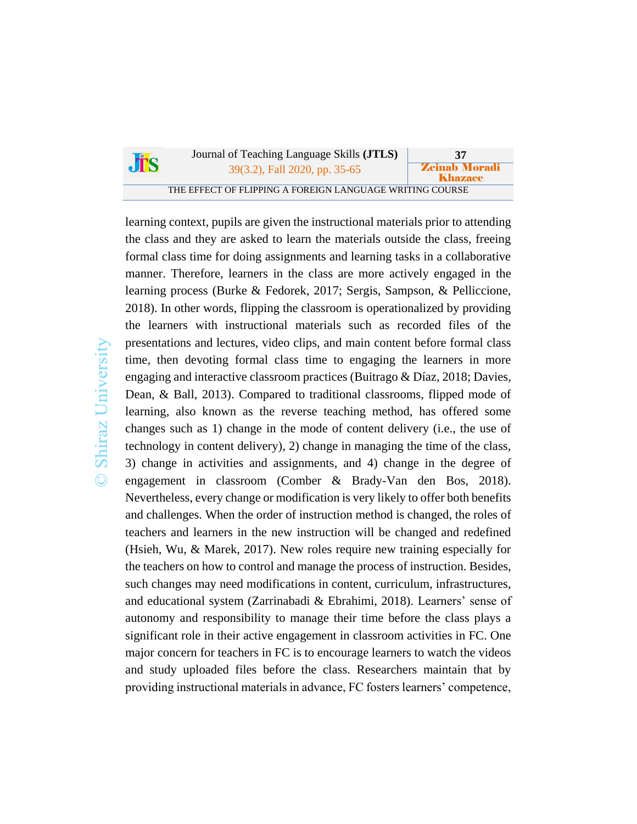|     | Journal of Teaching Language Skills ( <b>JTLS</b> )      | 37                              |
|-----|----------------------------------------------------------|---------------------------------|
| JTS | 39(3.2), Fall 2020, pp. 35-65                            | <b>Zeinab Moradi</b><br>Khazaee |
|     | THE EFFECT OF FLIPPING A FOREIGN LANGUAGE WRITING COURSE |                                 |

learning context, pupils are given the instructional materials prior to attending the class and they are asked to learn the materials outside the class, freeing formal class time for doing assignments and learning tasks in a collaborative manner. Therefore, learners in the class are more actively engaged in the learning process (Burke & Fedorek, 2017; Sergis, Sampson, & Pelliccione, 2018). In other words, flipping the classroom is operationalized by providing the learners with instructional materials such as recorded files of the presentations and lectures, video clips, and main content before formal class time, then devoting formal class time to engaging the learners in more engaging and interactive classroom practices (Buitrago & Díaz, 2018; Davies, Dean, & Ball, 2013). Compared to traditional classrooms, flipped mode of learning, also known as the reverse teaching method, has offered some changes such as 1) change in the mode of content delivery (i.e., the use of technology in content delivery), 2) change in managing the time of the class, 3) change in activities and assignments, and 4) change in the degree of engagement in classroom (Comber & Brady-Van den Bos, 2018). Nevertheless, every change or modification is very likely to offer both benefits and challenges. When the order of instruction method is changed, the roles of teachers and learners in the new instruction will be changed and redefined (Hsieh, Wu, & Marek, 2017). New roles require new training especially for the teachers on how to control and manage the process of instruction. Besides, such changes may need modifications in content, curriculum, infrastructures, and educational system (Zarrinabadi & Ebrahimi, 2018). Learners' sense of autonomy and responsibility to manage their time before the class plays a significant role in their active engagement in classroom activities in FC. One major concern for teachers in FC is to encourage learners to watch the videos and study uploaded files before the class. Researchers maintain that by providing instructional materials in advance, FC fosters learners' competence,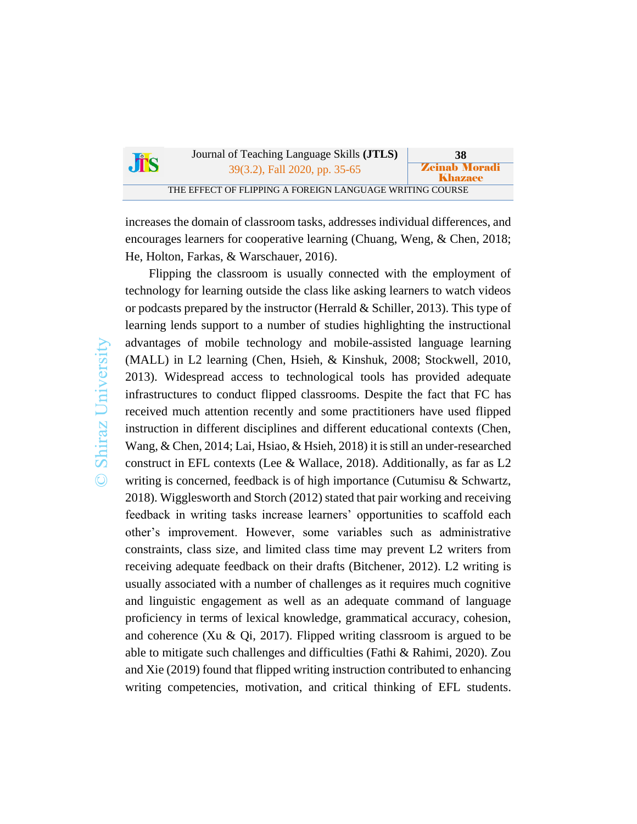| <b>Jis</b> | Journal of Teaching Language Skills ( <b>JTLS</b> )      | 38                              |
|------------|----------------------------------------------------------|---------------------------------|
|            | 39(3.2), Fall 2020, pp. 35-65                            | <b>Zeinab Moradi</b><br>Khazaee |
|            | THE EFFECT OF FLIPPING A FOREIGN LANGUAGE WRITING COURSE |                                 |

increases the domain of classroom tasks, addresses individual differences, and encourages learners for cooperative learning (Chuang, Weng, & Chen, 2018; He, Holton, Farkas, & Warschauer, 2016).

Shiraz University  $\odot$ 

Flipping the classroom is usually connected with the employment of technology for learning outside the class like asking learners to watch videos or podcasts prepared by the instructor (Herrald & Schiller, 2013). This type of learning lends support to a number of studies highlighting the instructional advantages of mobile technology and mobile-assisted language learning (MALL) in L2 learning (Chen, Hsieh, & Kinshuk, 2008; Stockwell, 2010, 2013). Widespread access to technological tools has provided adequate infrastructures to conduct flipped classrooms. Despite the fact that FC has received much attention recently and some practitioners have used flipped instruction in different disciplines and different educational contexts (Chen, Wang, & Chen, 2014; Lai, Hsiao, & Hsieh, 2018) it is still an under-researched construct in EFL contexts (Lee & Wallace, 2018). Additionally, as far as L2 writing is concerned, feedback is of high importance (Cutumisu & Schwartz, 2018). Wigglesworth and Storch (2012) stated that pair working and receiving feedback in writing tasks increase learners' opportunities to scaffold each other's improvement. However, some variables such as administrative constraints, class size, and limited class time may prevent L2 writers from receiving adequate feedback on their drafts (Bitchener, 2012). L2 writing is usually associated with a number of challenges as it requires much cognitive and linguistic engagement as well as an adequate command of language proficiency in terms of lexical knowledge, grammatical accuracy, cohesion, and coherence (Xu & Qi, 2017). Flipped writing classroom is argued to be able to mitigate such challenges and difficulties (Fathi & Rahimi, 2020). Zou and Xie (2019) found that flipped writing instruction contributed to enhancing writing competencies, motivation, and critical thinking of EFL students.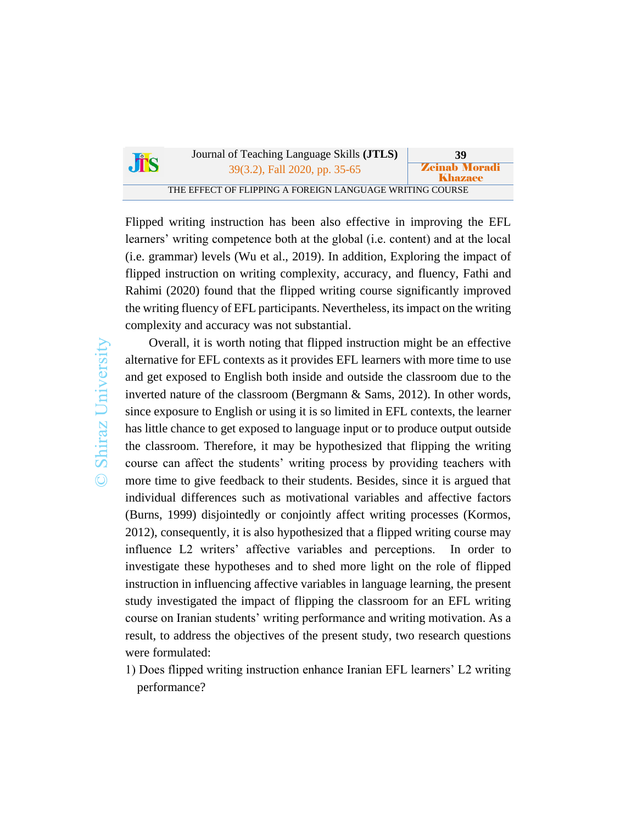| <b>Jis</b> | Journal of Teaching Language Skills ( <b>JTLS</b> )      | 39                              |
|------------|----------------------------------------------------------|---------------------------------|
|            | 39(3.2), Fall 2020, pp. 35-65                            | <b>Zeinab Moradi</b><br>Khazaee |
|            | THE EFFECT OF FLIPPING A FOREIGN LANGUAGE WRITING COURSE |                                 |

Flipped writing instruction has been also effective in improving the EFL learners' writing competence both at the global (i.e. content) and at the local (i.e. grammar) levels (Wu et al., 2019). In addition, Exploring the impact of flipped instruction on writing complexity, accuracy, and fluency, Fathi and Rahimi (2020) found that the flipped writing course significantly improved the writing fluency of EFL participants. Nevertheless, its impact on the writing complexity and accuracy was not substantial.

Overall, it is worth noting that flipped instruction might be an effective alternative for EFL contexts as it provides EFL learners with more time to use and get exposed to English both inside and outside the classroom due to the inverted nature of the classroom (Bergmann & Sams, 2012). In other words, since exposure to English or using it is so limited in EFL contexts, the learner has little chance to get exposed to language input or to produce output outside the classroom. Therefore, it may be hypothesized that flipping the writing course can affect the students' writing process by providing teachers with more time to give feedback to their students. Besides, since it is argued that individual differences such as motivational variables and affective factors (Burns, 1999) disjointedly or conjointly affect writing processes (Kormos, 2012), consequently, it is also hypothesized that a flipped writing course may influence L2 writers' affective variables and perceptions. In order to investigate these hypotheses and to shed more light on the role of flipped instruction in influencing affective variables in language learning, the present study investigated the impact of flipping the classroom for an EFL writing course on Iranian students' writing performance and writing motivation. As a result, to address the objectives of the present study, two research questions were formulated:

1) Does flipped writing instruction enhance Iranian EFL learners' L2 writing performance?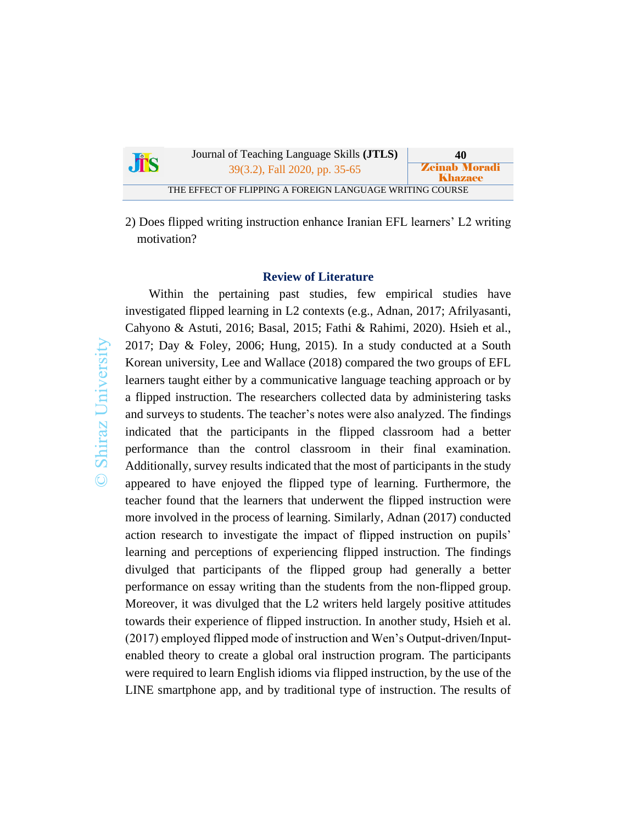| <b>JES</b> | Journal of Teaching Language Skills ( <b>JTLS</b> )      | 40                                     |
|------------|----------------------------------------------------------|----------------------------------------|
|            | 39(3.2), Fall 2020, pp. 35-65                            | <b>Zeinab Moradi</b><br><b>Khazaee</b> |
|            | THE EFFECT OF FLIPPING A FOREIGN LANGUAGE WRITING COURSE |                                        |

2) Does flipped writing instruction enhance Iranian EFL learners' L2 writing motivation?

## **Review of Literature**

Within the pertaining past studies, few empirical studies have investigated flipped learning in L2 contexts (e.g., Adnan, 2017; Afrilyasanti, Cahyono & Astuti, 2016; Basal, 2015; Fathi & Rahimi, 2020). Hsieh et al., 2017; Day & Foley, 2006; Hung, 2015). In a study conducted at a South Korean university, Lee and Wallace (2018) compared the two groups of EFL learners taught either by a communicative language teaching approach or by a flipped instruction. The researchers collected data by administering tasks and surveys to students. The teacher's notes were also analyzed. The findings indicated that the participants in the flipped classroom had a better performance than the control classroom in their final examination. Additionally, survey results indicated that the most of participants in the study appeared to have enjoyed the flipped type of learning. Furthermore, the teacher found that the learners that underwent the flipped instruction were more involved in the process of learning. Similarly, Adnan (2017) conducted action research to investigate the impact of flipped instruction on pupils' learning and perceptions of experiencing flipped instruction. The findings divulged that participants of the flipped group had generally a better performance on essay writing than the students from the non-flipped group. Moreover, it was divulged that the L2 writers held largely positive attitudes towards their experience of flipped instruction. In another study, Hsieh et al. (2017) employed flipped mode of instruction and Wen's Output-driven/Inputenabled theory to create a global oral instruction program. The participants were required to learn English idioms via flipped instruction, by the use of the LINE smartphone app, and by traditional type of instruction. The results of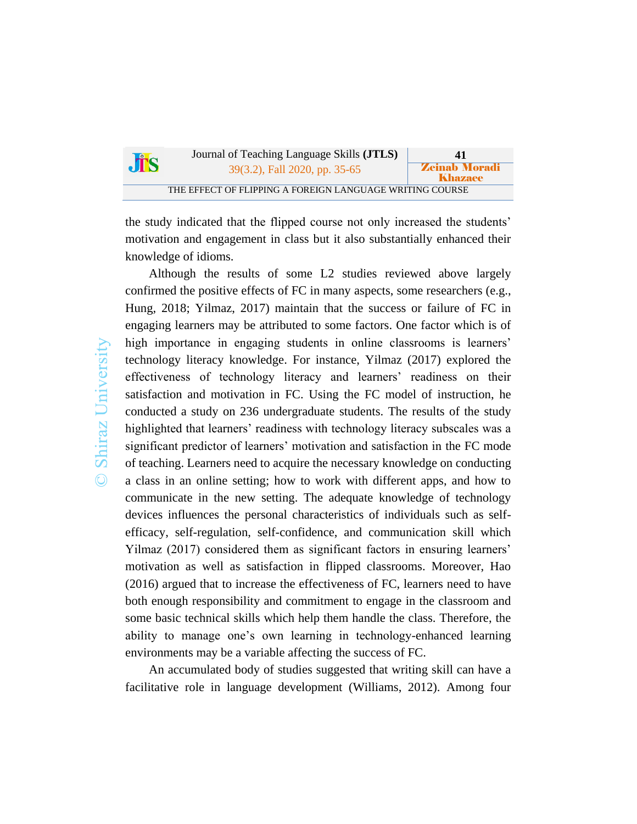| $\mathbf{d}$ | Journal of Teaching Language Skills ( <b>JTLS</b> )      | 41                              |
|--------------|----------------------------------------------------------|---------------------------------|
|              | 39(3.2), Fall 2020, pp. 35-65                            | <b>Zeinab Moradi</b><br>Khazaee |
|              | THE EFFECT OF FLIPPING A FOREIGN LANGUAGE WRITING COURSE |                                 |

the study indicated that the flipped course not only increased the students' motivation and engagement in class but it also substantially enhanced their knowledge of idioms.

Shiraz University  $\odot$ 

Although the results of some L2 studies reviewed above largely confirmed the positive effects of FC in many aspects, some researchers (e.g., Hung, 2018; Yilmaz, 2017) maintain that the success or failure of FC in engaging learners may be attributed to some factors. One factor which is of high importance in engaging students in online classrooms is learners' technology literacy knowledge. For instance, Yilmaz (2017) explored the effectiveness of technology literacy and learners' readiness on their satisfaction and motivation in FC. Using the FC model of instruction, he conducted a study on 236 undergraduate students. The results of the study highlighted that learners' readiness with technology literacy subscales was a significant predictor of learners' motivation and satisfaction in the FC mode of teaching. Learners need to acquire the necessary knowledge on conducting a class in an online setting; how to work with different apps, and how to communicate in the new setting. The adequate knowledge of technology devices influences the personal characteristics of individuals such as selfefficacy, self-regulation, self-confidence, and communication skill which Yilmaz (2017) considered them as significant factors in ensuring learners' motivation as well as satisfaction in flipped classrooms. Moreover, Hao (2016) argued that to increase the effectiveness of FC, learners need to have both enough responsibility and commitment to engage in the classroom and some basic technical skills which help them handle the class. Therefore, the ability to manage one's own learning in technology-enhanced learning environments may be a variable affecting the success of FC.

An accumulated body of studies suggested that writing skill can have a facilitative role in language development (Williams, 2012). Among four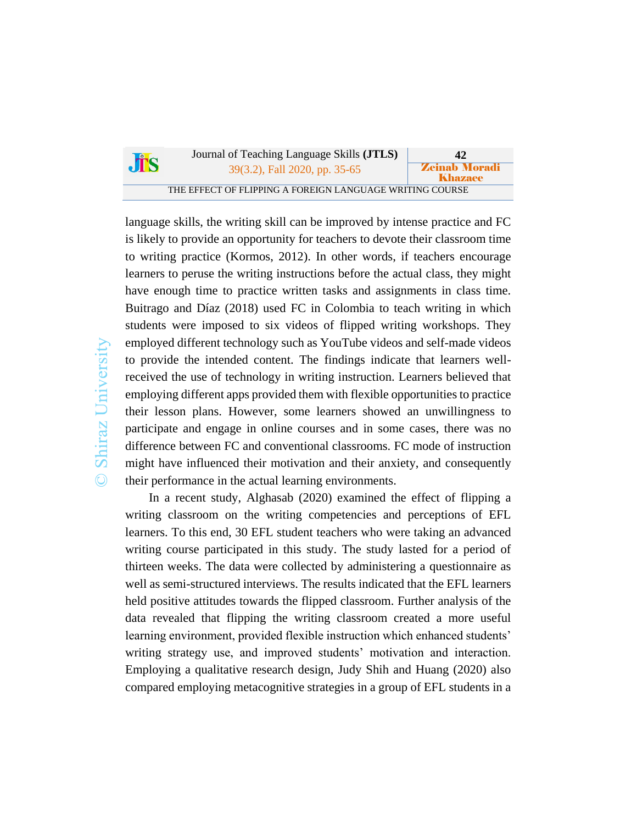|            | Journal of Teaching Language Skills ( <b>JTLS</b> )      | 42                              |
|------------|----------------------------------------------------------|---------------------------------|
| <b>JTS</b> | 39(3.2), Fall 2020, pp. 35-65                            | <b>Zeinab Moradi</b><br>Khazaee |
|            | THE EFFECT OF FLIPPING A FOREIGN LANGUAGE WRITING COURSE |                                 |

language skills, the writing skill can be improved by intense practice and FC is likely to provide an opportunity for teachers to devote their classroom time to writing practice (Kormos, 2012). In other words, if teachers encourage learners to peruse the writing instructions before the actual class, they might have enough time to practice written tasks and assignments in class time. Buitrago and Díaz (2018) used FC in Colombia to teach writing in which students were imposed to six videos of flipped writing workshops. They employed different technology such as YouTube videos and self-made videos to provide the intended content. The findings indicate that learners wellreceived the use of technology in writing instruction. Learners believed that employing different apps provided them with flexible opportunities to practice their lesson plans. However, some learners showed an unwillingness to participate and engage in online courses and in some cases, there was no difference between FC and conventional classrooms. FC mode of instruction might have influenced their motivation and their anxiety, and consequently their performance in the actual learning environments.

In a recent study, Alghasab (2020) examined the effect of flipping a writing classroom on the writing competencies and perceptions of EFL learners. To this end, 30 EFL student teachers who were taking an advanced writing course participated in this study. The study lasted for a period of thirteen weeks. The data were collected by administering a questionnaire as well as semi-structured interviews. The results indicated that the EFL learners held positive attitudes towards the flipped classroom. Further analysis of the data revealed that flipping the writing classroom created a more useful learning environment, provided flexible instruction which enhanced students' writing strategy use, and improved students' motivation and interaction. Employing a qualitative research design, Judy Shih and Huang (2020) also compared employing metacognitive strategies in a group of EFL students in a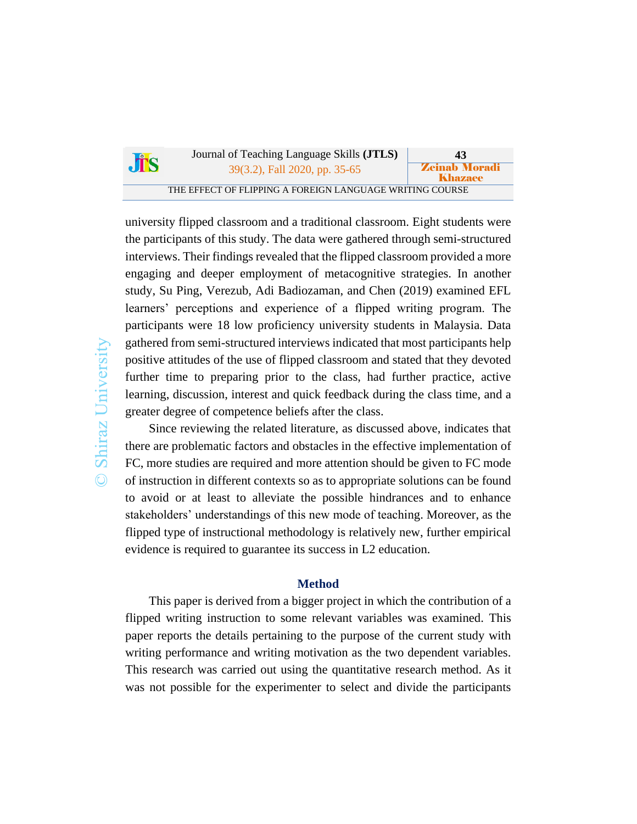|            | Journal of Teaching Language Skills ( <b>JTLS</b> )      | 43                              |
|------------|----------------------------------------------------------|---------------------------------|
| <b>JTS</b> | 39(3.2), Fall 2020, pp. 35-65                            | <b>Zeinab Moradi</b><br>Khazaee |
|            | THE EFFECT OF FLIPPING A FOREIGN LANGUAGE WRITING COURSE |                                 |

university flipped classroom and a traditional classroom. Eight students were the participants of this study. The data were gathered through semi-structured interviews. Their findings revealed that the flipped classroom provided a more engaging and deeper employment of metacognitive strategies. In another study, Su Ping, Verezub, Adi Badiozaman, and Chen (2019) examined EFL learners' perceptions and experience of a flipped writing program. The participants were 18 low proficiency university students in Malaysia. Data gathered from semi-structured interviews indicated that most participants help positive attitudes of the use of flipped classroom and stated that they devoted further time to preparing prior to the class, had further practice, active learning, discussion, interest and quick feedback during the class time, and a greater degree of competence beliefs after the class.

Since reviewing the related literature, as discussed above, indicates that there are problematic factors and obstacles in the effective implementation of FC, more studies are required and more attention should be given to FC mode of instruction in different contexts so as to appropriate solutions can be found to avoid or at least to alleviate the possible hindrances and to enhance stakeholders' understandings of this new mode of teaching. Moreover, as the flipped type of instructional methodology is relatively new, further empirical evidence is required to guarantee its success in L2 education.

#### **Method**

This paper is derived from a bigger project in which the contribution of a flipped writing instruction to some relevant variables was examined. This paper reports the details pertaining to the purpose of the current study with writing performance and writing motivation as the two dependent variables. This research was carried out using the quantitative research method. As it was not possible for the experimenter to select and divide the participants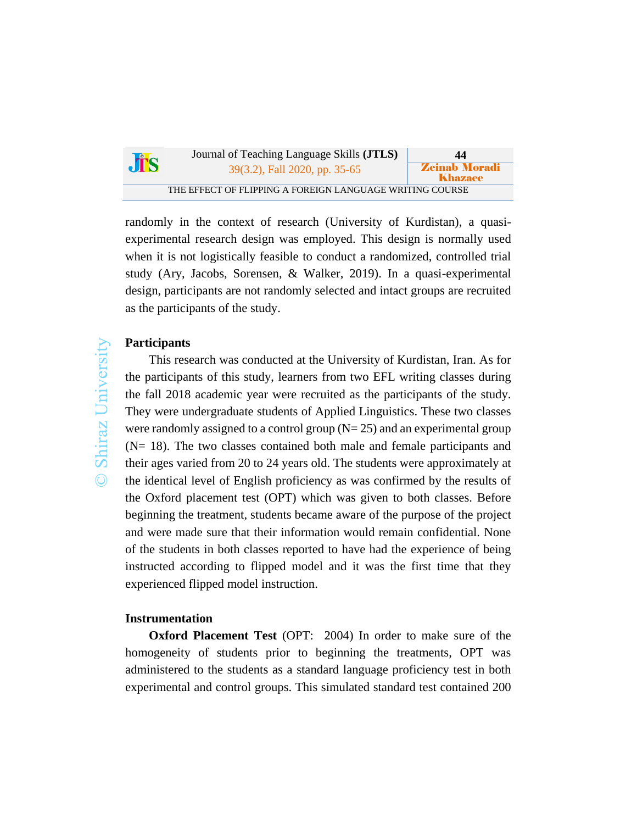| $\mathbf{d}$ | Journal of Teaching Language Skills ( <b>JTLS</b> )      | 44                              |
|--------------|----------------------------------------------------------|---------------------------------|
|              | 39(3.2), Fall 2020, pp. 35-65                            | <b>Zeinab Moradi</b><br>Khazaee |
|              | THE EFFECT OF FLIPPING A FOREIGN LANGUAGE WRITING COURSE |                                 |

randomly in the context of research (University of Kurdistan), a quasiexperimental research design was employed. This design is normally used when it is not logistically feasible to conduct a randomized, controlled trial study (Ary, Jacobs, Sorensen, & Walker, 2019). In a quasi-experimental design, participants are not randomly selected and intact groups are recruited as the participants of the study.

# **Participants**

This research was conducted at the University of Kurdistan, Iran. As for the participants of this study, learners from two EFL writing classes during the fall 2018 academic year were recruited as the participants of the study. They were undergraduate students of Applied Linguistics. These two classes were randomly assigned to a control group  $(N= 25)$  and an experimental group (N= 18). The two classes contained both male and female participants and their ages varied from 20 to 24 years old. The students were approximately at the identical level of English proficiency as was confirmed by the results of the Oxford placement test (OPT) which was given to both classes. Before beginning the treatment, students became aware of the purpose of the project and were made sure that their information would remain confidential. None of the students in both classes reported to have had the experience of being instructed according to flipped model and it was the first time that they experienced flipped model instruction.

### **Instrumentation**

**Oxford Placement Test** (OPT: 2004) In order to make sure of the homogeneity of students prior to beginning the treatments, OPT was administered to the students as a standard language proficiency test in both experimental and control groups. This simulated standard test contained 200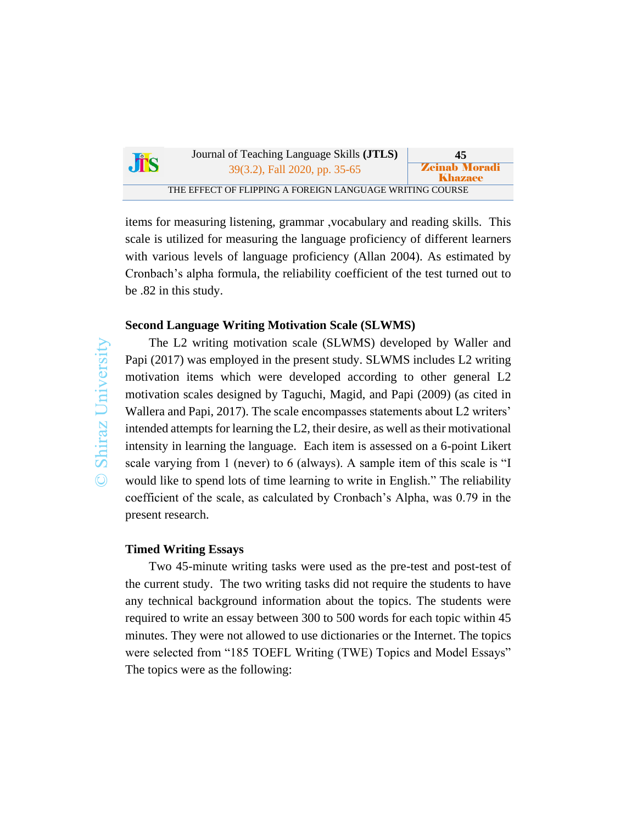| <b>JIS</b> | Journal of Teaching Language Skills ( <b>JTLS</b> )      | 45                                     |
|------------|----------------------------------------------------------|----------------------------------------|
|            | 39(3.2), Fall 2020, pp. 35-65                            | <b>Zeinab Moradi</b><br><b>Khazaee</b> |
|            | THE EFFECT OF FLIPPING A FOREIGN LANGUAGE WRITING COURSE |                                        |

items for measuring listening, grammar ,vocabulary and reading skills. This scale is utilized for measuring the language proficiency of different learners with various levels of language proficiency (Allan 2004). As estimated by Cronbach's alpha formula, the reliability coefficient of the test turned out to be .82 in this study.

#### **Second Language Writing Motivation Scale (SLWMS)**

Shiraz University  $\odot$ 

The L2 writing motivation scale (SLWMS) developed by Waller and Papi (2017) was employed in the present study. SLWMS includes L2 writing motivation items which were developed according to other general L2 motivation scales designed by Taguchi, Magid, and Papi (2009) (as cited in Wallera and Papi, 2017). The scale encompasses statements about L2 writers' intended attempts for learning the L2, their desire, as well as their motivational intensity in learning the language. Each item is assessed on a 6-point Likert scale varying from 1 (never) to 6 (always). A sample item of this scale is "I would like to spend lots of time learning to write in English." The reliability coefficient of the scale, as calculated by Cronbach's Alpha, was 0.79 in the present research.

## **Timed Writing Essays**

Two 45-minute writing tasks were used as the pre-test and post-test of the current study. The two writing tasks did not require the students to have any technical background information about the topics. The students were required to write an essay between 300 to 500 words for each topic within 45 minutes. They were not allowed to use dictionaries or the Internet. The topics were selected from "185 TOEFL Writing (TWE) Topics and Model Essays" The topics were as the following: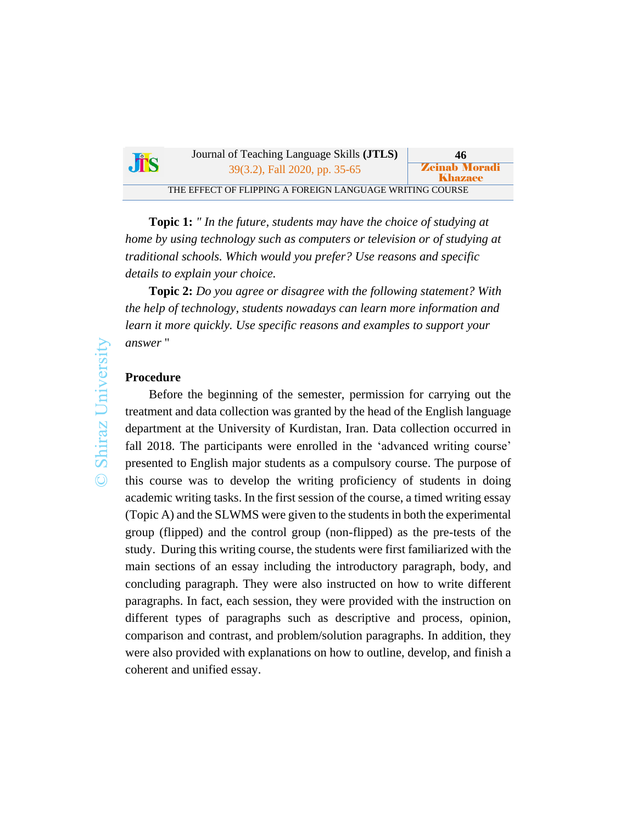| Jis | Journal of Teaching Language Skills ( <b>JTLS</b> )      | 46                                     |
|-----|----------------------------------------------------------|----------------------------------------|
|     | 39(3.2), Fall 2020, pp. 35-65                            | <b>Zeinab Moradi</b><br><b>Khazaee</b> |
|     | THE EFFECT OF FLIPPING A FOREIGN LANGUAGE WRITING COURSE |                                        |

**Topic 1:** *" In the future, students may have the choice of studying at home by using technology such as computers or television or of studying at traditional schools. Which would you prefer? Use reasons and specific details to explain your choice.*

**Topic 2:** *Do you agree or disagree with the following statement? With the help of technology, students nowadays can learn more information and learn it more quickly. Use specific reasons and examples to support your answer* "

# **Procedure**

Before the beginning of the semester, permission for carrying out the treatment and data collection was granted by the head of the English language department at the University of Kurdistan, Iran. Data collection occurred in fall 2018. The participants were enrolled in the 'advanced writing course' presented to English major students as a compulsory course. The purpose of this course was to develop the writing proficiency of students in doing academic writing tasks. In the first session of the course, a timed writing essay (Topic A) and the SLWMS were given to the students in both the experimental group (flipped) and the control group (non-flipped) as the pre-tests of the study. During this writing course, the students were first familiarized with the main sections of an essay including the introductory paragraph, body, and concluding paragraph. They were also instructed on how to write different paragraphs. In fact, each session, they were provided with the instruction on different types of paragraphs such as descriptive and process, opinion, comparison and contrast, and problem/solution paragraphs. In addition, they were also provided with explanations on how to outline, develop, and finish a coherent and unified essay.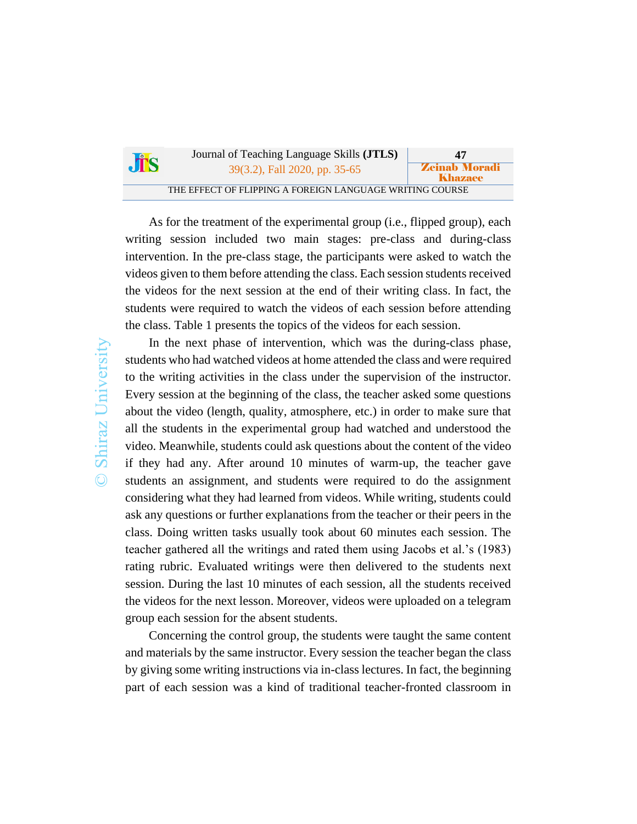| Jis | Journal of Teaching Language Skills ( <b>JTLS</b> )      | 47                              |
|-----|----------------------------------------------------------|---------------------------------|
|     | 39(3.2), Fall 2020, pp. 35-65                            | <b>Zeinab Moradi</b><br>Khazaee |
|     | THE EFFECT OF FLIPPING A FOREIGN LANGUAGE WRITING COURSE |                                 |

As for the treatment of the experimental group (i.e., flipped group), each writing session included two main stages: pre-class and during-class intervention. In the pre-class stage, the participants were asked to watch the videos given to them before attending the class. Each session students received the videos for the next session at the end of their writing class. In fact, the students were required to watch the videos of each session before attending the class. Table 1 presents the topics of the videos for each session.

In the next phase of intervention, which was the during-class phase, students who had watched videos at home attended the class and were required to the writing activities in the class under the supervision of the instructor. Every session at the beginning of the class, the teacher asked some questions about the video (length, quality, atmosphere, etc.) in order to make sure that all the students in the experimental group had watched and understood the video. Meanwhile, students could ask questions about the content of the video if they had any. After around 10 minutes of warm-up, the teacher gave students an assignment, and students were required to do the assignment considering what they had learned from videos. While writing, students could ask any questions or further explanations from the teacher or their peers in the class. Doing written tasks usually took about 60 minutes each session. The teacher gathered all the writings and rated them using Jacobs et al.'s (1983) rating rubric. Evaluated writings were then delivered to the students next session. During the last 10 minutes of each session, all the students received the videos for the next lesson. Moreover, videos were uploaded on a telegram group each session for the absent students.

Concerning the control group, the students were taught the same content and materials by the same instructor. Every session the teacher began the class by giving some writing instructions via in-class lectures. In fact, the beginning part of each session was a kind of traditional teacher-fronted classroom in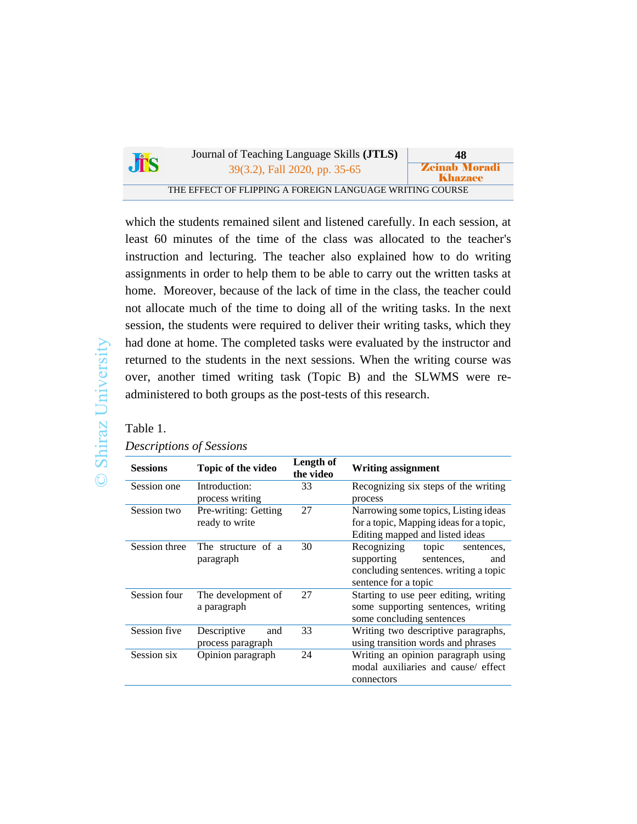|            | Journal of Teaching Language Skills ( <b>JTLS</b> )      | 48                              |
|------------|----------------------------------------------------------|---------------------------------|
| <b>JTS</b> | 39(3.2), Fall 2020, pp. 35-65                            | <b>Zeinab Moradi</b><br>Khazaee |
|            | THE EFFECT OF FLIPPING A FOREIGN LANGUAGE WRITING COURSE |                                 |

which the students remained silent and listened carefully. In each session, at least 60 minutes of the time of the class was allocated to the teacher's instruction and lecturing. The teacher also explained how to do writing assignments in order to help them to be able to carry out the written tasks at home. Moreover, because of the lack of time in the class, the teacher could not allocate much of the time to doing all of the writing tasks. In the next session, the students were required to deliver their writing tasks, which they had done at home. The completed tasks were evaluated by the instructor and returned to the students in the next sessions. When the writing course was over, another timed writing task (Topic B) and the SLWMS were readministered to both groups as the post-tests of this research.

Table 1.

## *Descriptions of Sessions*

| <b>Sessions</b> | Topic of the video                      | Length of<br>the video | <b>Writing assignment</b>                                                                                                              |  |
|-----------------|-----------------------------------------|------------------------|----------------------------------------------------------------------------------------------------------------------------------------|--|
| Session one     | Introduction:<br>process writing        | 33                     | Recognizing six steps of the writing<br>process                                                                                        |  |
| Session two     | Pre-writing: Getting<br>ready to write  | 27                     | Narrowing some topics, Listing ideas<br>for a topic, Mapping ideas for a topic,<br>Editing mapped and listed ideas                     |  |
| Session three   | The structure of a<br>paragraph         | 30                     | Recognizing<br>topic<br>sentences,<br>supporting<br>sentences,<br>and<br>concluding sentences. writing a topic<br>sentence for a topic |  |
| Session four    | The development of<br>a paragraph       | 27                     | Starting to use peer editing, writing<br>some supporting sentences, writing<br>some concluding sentences                               |  |
| Session five    | Descriptive<br>and<br>process paragraph | 33                     | Writing two descriptive paragraphs,<br>using transition words and phrases                                                              |  |
| Session six     | Opinion paragraph                       | 24                     | Writing an opinion paragraph using<br>modal auxiliaries and cause/ effect<br>connectors                                                |  |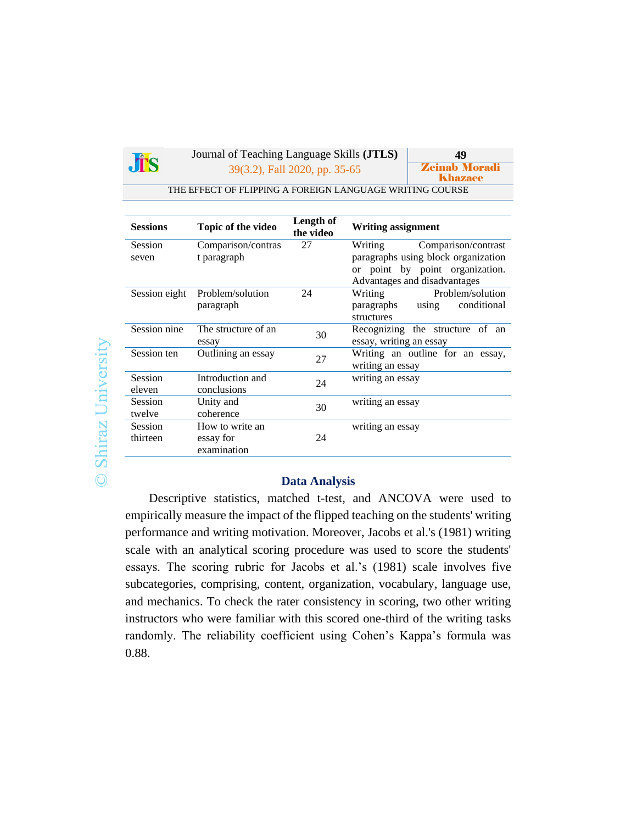

Journal of Teaching Language Skills **(JTLS) 49** 39(3.2), Fall 2020, pp. 35-65 **Zeinab Moradi** 

Khazaee

THE EFFECT OF FLIPPING A FOREIGN LANGUAGE WRITING COURSE

| <b>Sessions</b>          | Topic of the video                          | Length of<br>the video | <b>Writing assignment</b>                                                                              |
|--------------------------|---------------------------------------------|------------------------|--------------------------------------------------------------------------------------------------------|
| <b>Session</b>           | Comparison/contras                          | 27                     | Comparison/contrast<br>Writing                                                                         |
| seven                    | t paragraph                                 |                        | paragraphs using block organization<br>or point by point organization.<br>Advantages and disadvantages |
| Session eight            | Problem/solution<br>paragraph               | 24                     | Problem/solution<br>Writing<br>using conditional<br>paragraphs<br>structures                           |
| Session nine             | The structure of an<br>essay                | 30                     | Recognizing the structure of an<br>essay, writing an essay                                             |
| Session ten              | Outlining an essay                          | 27                     | Writing an outline for an essay,<br>writing an essay                                                   |
| <b>Session</b><br>eleven | Introduction and<br>conclusions             | 24                     | writing an essay                                                                                       |
| Session<br>twelve        | Unity and<br>coherence                      | 30                     | writing an essay                                                                                       |
| Session<br>thirteen      | How to write an<br>essay for<br>examination | 24                     | writing an essay                                                                                       |

#### **Data Analysis**

Descriptive statistics, matched t-test, and ANCOVA were used to empirically measure the impact of the flipped teaching on the students' writing performance and writing motivation. Moreover, Jacobs et al.'s (1981) writing scale with an analytical scoring procedure was used to score the students' essays. The scoring rubric for Jacobs et al.'s (1981) scale involves five subcategories, comprising, content, organization, vocabulary, language use, and mechanics. To check the rater consistency in scoring, two other writing instructors who were familiar with this scored one-third of the writing tasks randomly. The reliability coefficient using Cohen's Kappa's formula was 0.88.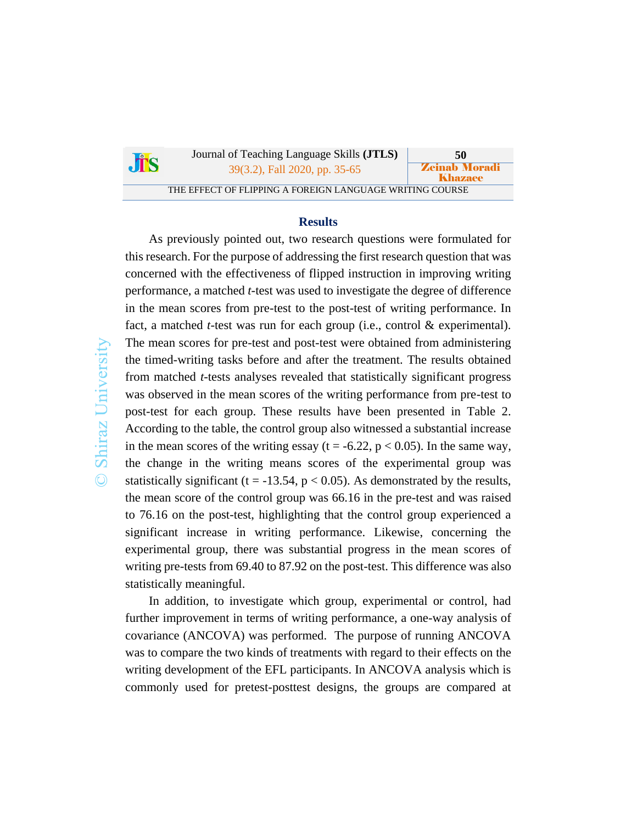| $\int_{0}^{\infty}$ | Journal of Teaching Language Skills ( <b>JTLS</b> )      | 50                              |
|---------------------|----------------------------------------------------------|---------------------------------|
|                     | 39(3.2), Fall 2020, pp. 35-65                            | <b>Zeinab Moradi</b><br>Khazaee |
|                     | THE EFFECT OF FLIPPING A FOREIGN LANGUAGE WRITING COURSE |                                 |

#### **Results**

As previously pointed out, two research questions were formulated for this research. For the purpose of addressing the first research question that was concerned with the effectiveness of flipped instruction in improving writing performance, a matched *t*-test was used to investigate the degree of difference in the mean scores from pre-test to the post-test of writing performance. In fact, a matched *t*-test was run for each group (i.e., control & experimental). The mean scores for pre-test and post-test were obtained from administering the timed-writing tasks before and after the treatment. The results obtained from matched *t*-tests analyses revealed that statistically significant progress was observed in the mean scores of the writing performance from pre-test to post-test for each group. These results have been presented in Table 2. According to the table, the control group also witnessed a substantial increase in the mean scores of the writing essay ( $t = -6.22$ ,  $p < 0.05$ ). In the same way, the change in the writing means scores of the experimental group was statistically significant (t = -13.54,  $p < 0.05$ ). As demonstrated by the results, the mean score of the control group was 66.16 in the pre-test and was raised to 76.16 on the post-test, highlighting that the control group experienced a significant increase in writing performance. Likewise, concerning the experimental group, there was substantial progress in the mean scores of writing pre-tests from 69.40 to 87.92 on the post-test. This difference was also statistically meaningful.

In addition, to investigate which group, experimental or control, had further improvement in terms of writing performance, a one-way analysis of covariance (ANCOVA) was performed. The purpose of running ANCOVA was to compare the two kinds of treatments with regard to their effects on the writing development of the EFL participants. In ANCOVA analysis which is commonly used for pretest-posttest designs, the groups are compared at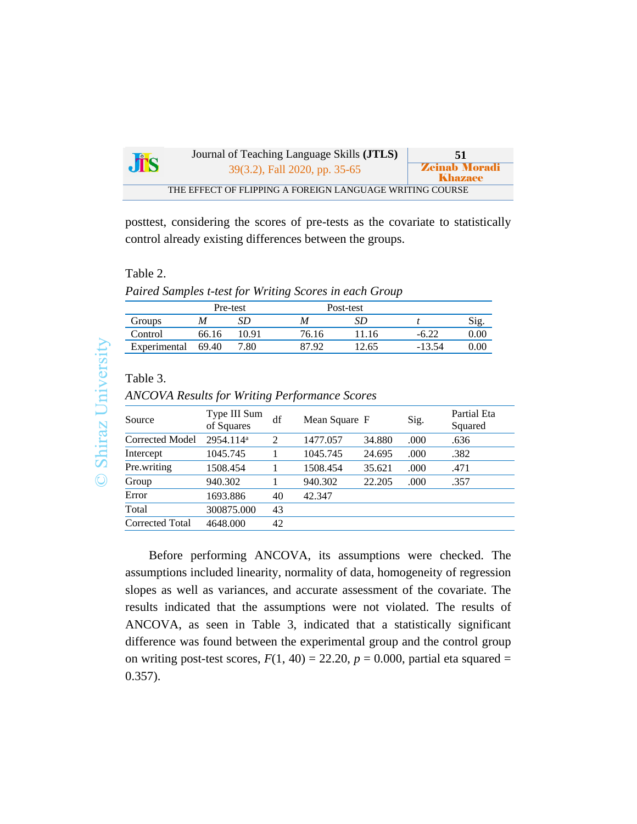| <b>Jis</b> | Journal of Teaching Language Skills ( <b>JTLS</b> )      | 51                                     |
|------------|----------------------------------------------------------|----------------------------------------|
|            | 39(3.2), Fall 2020, pp. 35-65                            | <b>Zeinab Moradi</b><br><b>Khazaee</b> |
|            | THE EFFECT OF FLIPPING A FOREIGN LANGUAGE WRITING COURSE |                                        |

posttest, considering the scores of pre-tests as the covariate to statistically control already existing differences between the groups.

#### Table 2.

*Paired Samples t-test for Writing Scores in each Group*

|              |       | Pre-test |       | Post-test |          |          |
|--------------|-------|----------|-------|-----------|----------|----------|
| Groups       | M     |          | M     |           |          | Sig      |
| Control      | 66.16 | ' 0.91   | 76.16 | 11.16     | $-0.44$  | $0.00\,$ |
| Experimental | 69.40 | 7.80     | 87.92 | 12.65     | $-13.54$ |          |

# Table 3.

*ANCOVA Results for Writing Performance Scores*

| Source          | Type III Sum<br>of Squares | df             | Mean Square F |        | Sig. | Partial Eta<br>Squared |
|-----------------|----------------------------|----------------|---------------|--------|------|------------------------|
| Corrected Model | 2954.114 <sup>a</sup>      | $\mathfrak{D}$ | 1477.057      | 34.880 | .000 | .636                   |
| Intercept       | 1045.745                   |                | 1045.745      | 24.695 | .000 | .382                   |
| Pre.writing     | 1508.454                   |                | 1508.454      | 35.621 | .000 | .471                   |
| Group           | 940.302                    |                | 940.302       | 22.205 | .000 | .357                   |
| Error           | 1693.886                   | 40             | 42.347        |        |      |                        |
| Total           | 300875.000                 | 43             |               |        |      |                        |
| Corrected Total | 4648.000                   | 42             |               |        |      |                        |

Before performing ANCOVA, its assumptions were checked. The assumptions included linearity, normality of data, homogeneity of regression slopes as well as variances, and accurate assessment of the covariate. The results indicated that the assumptions were not violated. The results of ANCOVA, as seen in Table 3, indicated that a statistically significant difference was found between the experimental group and the control group on writing post-test scores,  $F(1, 40) = 22.20$ ,  $p = 0.000$ , partial eta squared = 0.357).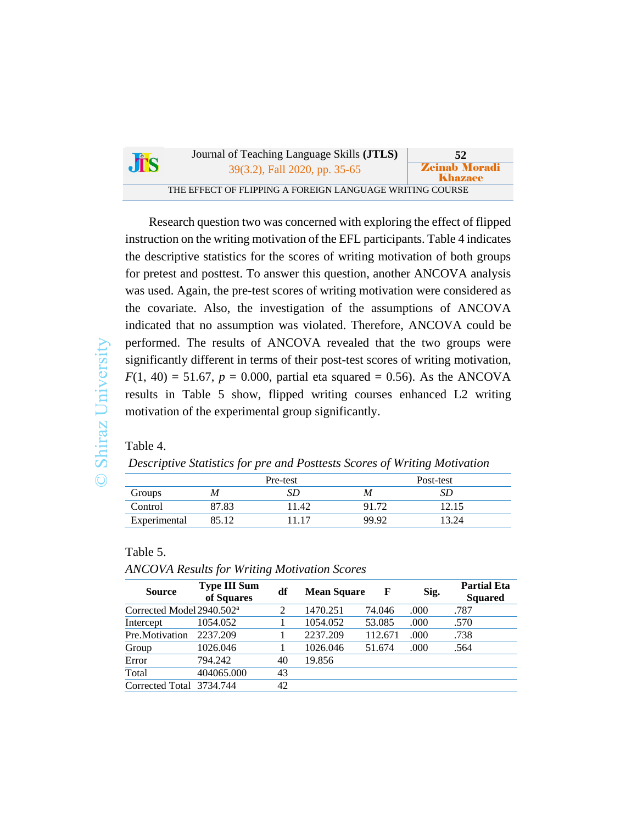| <b>JTS</b> | Journal of Teaching Language Skills ( <b>JTLS</b> )      | 52                              |
|------------|----------------------------------------------------------|---------------------------------|
|            | 39(3.2), Fall 2020, pp. 35-65                            | <b>Zeinab Moradi</b><br>Khazaee |
|            | THE EFFECT OF FLIPPING A FOREIGN LANGUAGE WRITING COURSE |                                 |

Research question two was concerned with exploring the effect of flipped instruction on the writing motivation of the EFL participants. Table 4 indicates the descriptive statistics for the scores of writing motivation of both groups for pretest and posttest. To answer this question, another ANCOVA analysis was used. Again, the pre-test scores of writing motivation were considered as the covariate. Also, the investigation of the assumptions of ANCOVA indicated that no assumption was violated. Therefore, ANCOVA could be performed. The results of ANCOVA revealed that the two groups were significantly different in terms of their post-test scores of writing motivation,  $F(1, 40) = 51.67$ ,  $p = 0.000$ , partial eta squared = 0.56). As the ANCOVA results in Table 5 show, flipped writing courses enhanced L2 writing motivation of the experimental group significantly.

Table 4.

*Descriptive Statistics for pre and Posttests Scores of Writing Motivation*

|              | Pre-test |       | Post-test |       |  |
|--------------|----------|-------|-----------|-------|--|
| Groups       | M        | SD    | M         | SΡ    |  |
| Control      | 87.83    | 11.42 | 91.72     | 12.15 |  |
| Experimental | 85.12    | 11 17 | 99.92     | 13.24 |  |

Table 5.

*ANCOVA Results for Writing Motivation Scores*

| <b>Source</b>                         | <b>Type III Sum</b><br>of Squares | df | <b>Mean Square</b> | F       | Sig. | <b>Partial Eta</b><br><b>Squared</b> |
|---------------------------------------|-----------------------------------|----|--------------------|---------|------|--------------------------------------|
| Corrected Model 2940.502 <sup>a</sup> |                                   | 2  | 1470.251           | 74.046  | .000 | .787                                 |
| Intercept                             | 1054.052                          |    | 1054.052           | 53.085  | .000 | .570                                 |
| Pre.Motivation                        | 2237.209                          |    | 2237.209           | 112.671 | .000 | .738                                 |
| Group                                 | 1026.046                          |    | 1026.046           | 51.674  | .000 | .564                                 |
| Error                                 | 794.242                           | 40 | 19.856             |         |      |                                      |
| Total                                 | 404065.000                        | 43 |                    |         |      |                                      |
| Corrected Total 3734.744              |                                   | 42 |                    |         |      |                                      |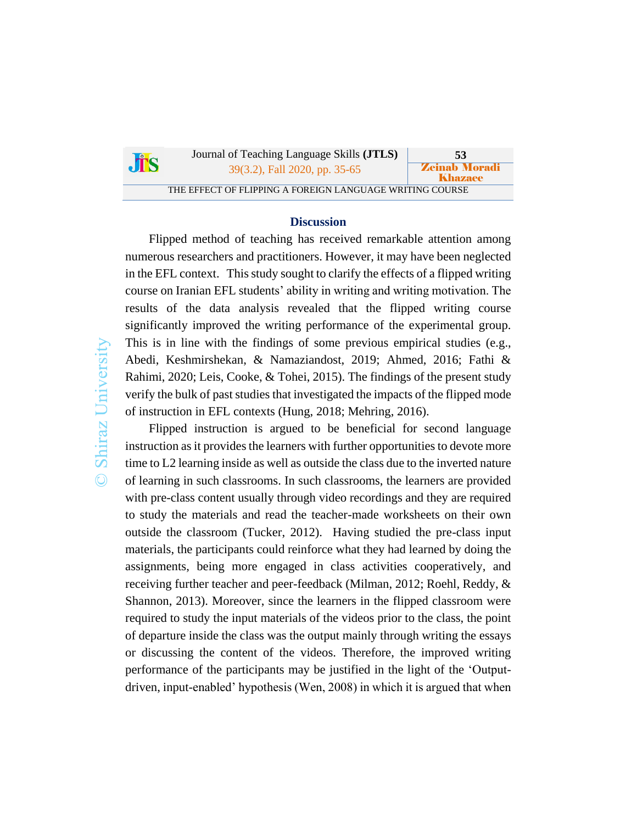|            | Journal of Teaching Language Skills (JTLS)               | 53                              |
|------------|----------------------------------------------------------|---------------------------------|
| <b>JES</b> | 39(3.2), Fall 2020, pp. 35-65                            | <b>Zeinab Moradi</b><br>Khazaee |
|            | THE EFFECT OF FLIPPING A FOREIGN LANGUAGE WRITING COURSE |                                 |

### **Discussion**

Flipped method of teaching has received remarkable attention among numerous researchers and practitioners. However, it may have been neglected in the EFL context. This study sought to clarify the effects of a flipped writing course on Iranian EFL students' ability in writing and writing motivation. The results of the data analysis revealed that the flipped writing course significantly improved the writing performance of the experimental group. This is in line with the findings of some previous empirical studies (e.g., Abedi, Keshmirshekan, & Namaziandost, 2019; Ahmed, 2016; Fathi & Rahimi, 2020; Leis, Cooke, & Tohei, 2015). The findings of the present study verify the bulk of past studies that investigated the impacts of the flipped mode of instruction in EFL contexts (Hung, 2018; Mehring, 2016).

Flipped instruction is argued to be beneficial for second language instruction as it provides the learners with further opportunities to devote more time to L2 learning inside as well as outside the class due to the inverted nature of learning in such classrooms. In such classrooms, the learners are provided with pre-class content usually through video recordings and they are required to study the materials and read the teacher-made worksheets on their own outside the classroom (Tucker, 2012). Having studied the pre-class input materials, the participants could reinforce what they had learned by doing the assignments, being more engaged in class activities cooperatively, and receiving further teacher and peer-feedback (Milman, 2012; Roehl, Reddy, & Shannon, 2013). Moreover, since the learners in the flipped classroom were required to study the input materials of the videos prior to the class, the point of departure inside the class was the output mainly through writing the essays or discussing the content of the videos. Therefore, the improved writing performance of the participants may be justified in the light of the 'Outputdriven, input-enabled' hypothesis (Wen, 2008) in which it is argued that when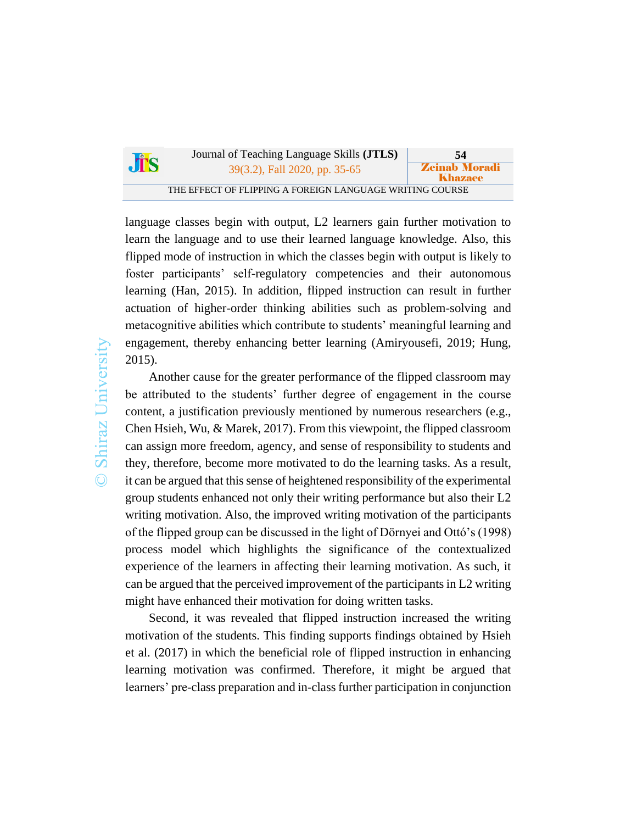| <b>Jis</b> | Journal of Teaching Language Skills (JTLS)               | 54                                     |
|------------|----------------------------------------------------------|----------------------------------------|
|            | 39(3.2), Fall 2020, pp. 35-65                            | <b>Zeinab Moradi</b><br><b>Khazaee</b> |
|            | THE EFFECT OF FLIPPING A FOREIGN LANGUAGE WRITING COURSE |                                        |

language classes begin with output, L2 learners gain further motivation to learn the language and to use their learned language knowledge. Also, this flipped mode of instruction in which the classes begin with output is likely to foster participants' self-regulatory competencies and their autonomous learning (Han, 2015). In addition, flipped instruction can result in further actuation of higher-order thinking abilities such as problem-solving and metacognitive abilities which contribute to students' meaningful learning and engagement, thereby enhancing better learning (Amiryousefi, 2019; Hung, 2015).

Another cause for the greater performance of the flipped classroom may be attributed to the students' further degree of engagement in the course content, a justification previously mentioned by numerous researchers (e.g., Chen Hsieh, Wu, & Marek, 2017). From this viewpoint, the flipped classroom can assign more freedom, agency, and sense of responsibility to students and they, therefore, become more motivated to do the learning tasks. As a result, it can be argued that this sense of heightened responsibility of the experimental group students enhanced not only their writing performance but also their L2 writing motivation. Also, the improved writing motivation of the participants of the flipped group can be discussed in the light of Dörnyei and Ottó's (1998) process model which highlights the significance of the contextualized experience of the learners in affecting their learning motivation. As such, it can be argued that the perceived improvement of the participants in L2 writing might have enhanced their motivation for doing written tasks.

Second, it was revealed that flipped instruction increased the writing motivation of the students. This finding supports findings obtained by Hsieh et al. (2017) in which the beneficial role of flipped instruction in enhancing learning motivation was confirmed. Therefore, it might be argued that learners' pre-class preparation and in-class further participation in conjunction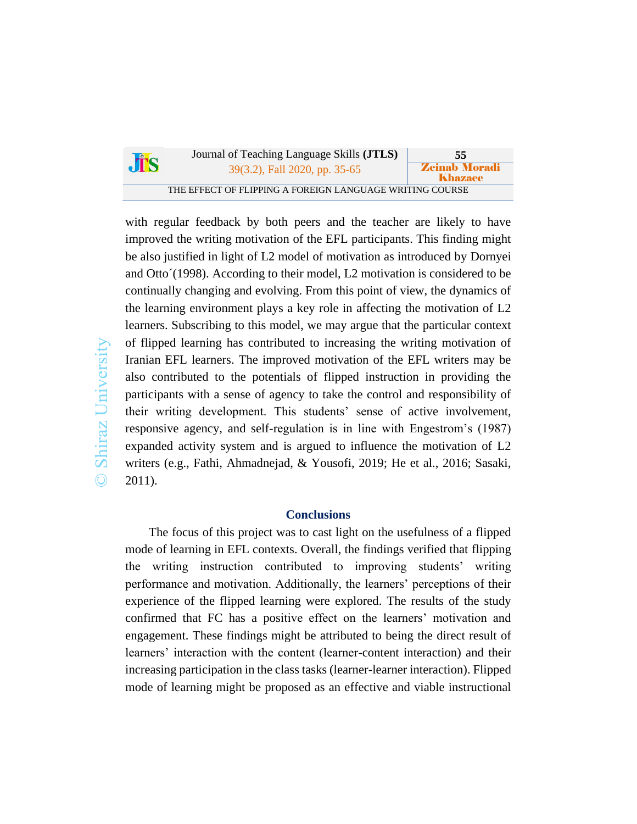|     | Journal of Teaching Language Skills ( <b>JTLS</b> )      | 55                              |
|-----|----------------------------------------------------------|---------------------------------|
| JTS | 39(3.2), Fall 2020, pp. 35-65                            | <b>Zeinab Moradi</b><br>Khazaee |
|     | THE EFFECT OF FLIPPING A FOREIGN LANGUAGE WRITING COURSE |                                 |

with regular feedback by both peers and the teacher are likely to have improved the writing motivation of the EFL participants. This finding might be also justified in light of L2 model of motivation as introduced by Dornyei and Otto´(1998). According to their model, L2 motivation is considered to be continually changing and evolving. From this point of view, the dynamics of the learning environment plays a key role in affecting the motivation of L2 learners. Subscribing to this model, we may argue that the particular context of flipped learning has contributed to increasing the writing motivation of Iranian EFL learners. The improved motivation of the EFL writers may be also contributed to the potentials of flipped instruction in providing the participants with a sense of agency to take the control and responsibility of their writing development. This students' sense of active involvement, responsive agency, and self-regulation is in line with Engestrom's (1987) expanded activity system and is argued to influence the motivation of L2 writers (e.g., Fathi, Ahmadnejad, & Yousofi, 2019; He et al., 2016; Sasaki, 2011).

# **Conclusions**

The focus of this project was to cast light on the usefulness of a flipped mode of learning in EFL contexts. Overall, the findings verified that flipping the writing instruction contributed to improving students' writing performance and motivation. Additionally, the learners' perceptions of their experience of the flipped learning were explored. The results of the study confirmed that FC has a positive effect on the learners' motivation and engagement. These findings might be attributed to being the direct result of learners' interaction with the content (learner-content interaction) and their increasing participation in the class tasks (learner-learner interaction). Flipped mode of learning might be proposed as an effective and viable instructional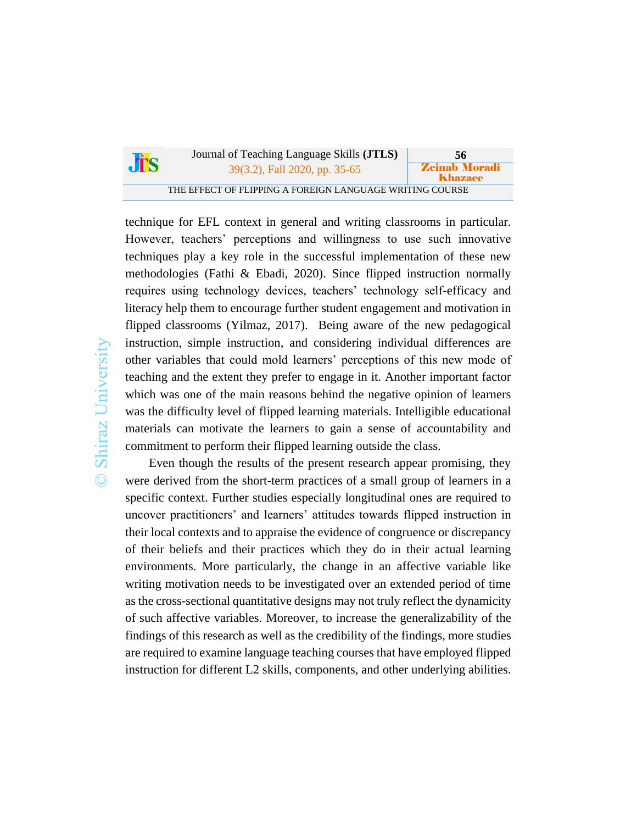| JTS | Journal of Teaching Language Skills ( <b>JTLS</b> )      | 56                              |
|-----|----------------------------------------------------------|---------------------------------|
|     | 39(3.2), Fall 2020, pp. 35-65                            | <b>Zeinab Moradi</b><br>Khazaee |
|     | THE EFFECT OF FLIPPING A FOREIGN LANGUAGE WRITING COURSE |                                 |

technique for EFL context in general and writing classrooms in particular. However, teachers' perceptions and willingness to use such innovative techniques play a key role in the successful implementation of these new methodologies (Fathi & Ebadi, 2020). Since flipped instruction normally requires using technology devices, teachers' technology self-efficacy and literacy help them to encourage further student engagement and motivation in flipped classrooms (Yilmaz, 2017). Being aware of the new pedagogical instruction, simple instruction, and considering individual differences are other variables that could mold learners' perceptions of this new mode of teaching and the extent they prefer to engage in it. Another important factor which was one of the main reasons behind the negative opinion of learners was the difficulty level of flipped learning materials. Intelligible educational materials can motivate the learners to gain a sense of accountability and commitment to perform their flipped learning outside the class.

Even though the results of the present research appear promising, they were derived from the short-term practices of a small group of learners in a specific context. Further studies especially longitudinal ones are required to uncover practitioners' and learners' attitudes towards flipped instruction in their local contexts and to appraise the evidence of congruence or discrepancy of their beliefs and their practices which they do in their actual learning environments. More particularly, the change in an affective variable like writing motivation needs to be investigated over an extended period of time as the cross-sectional quantitative designs may not truly reflect the dynamicity of such affective variables. Moreover, to increase the generalizability of the findings of this research as well as the credibility of the findings, more studies are required to examine language teaching courses that have employed flipped instruction for different L2 skills, components, and other underlying abilities.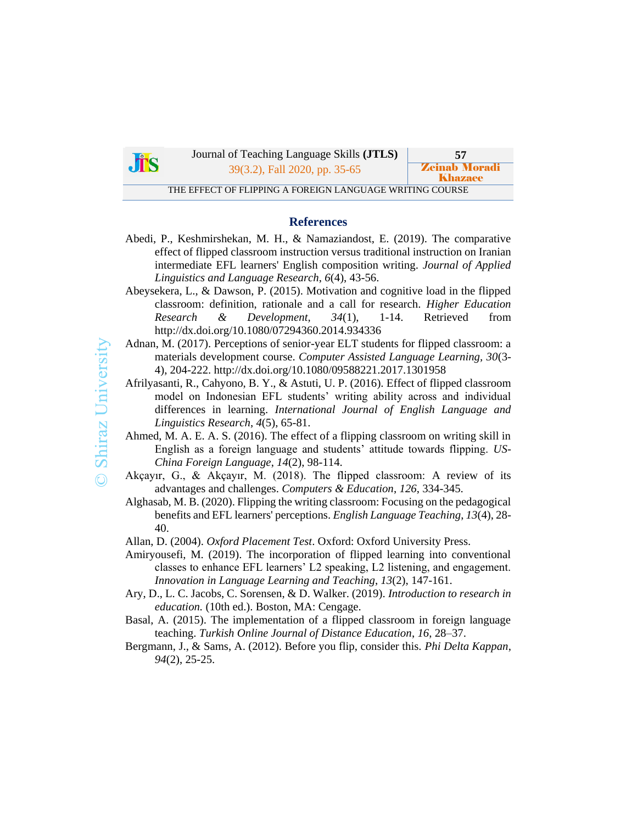

Journal of Teaching Language Skills **(JTLS) 57** 39(3.2), Fall 2020, pp. 35-65 **Zeinab Morad** 

THE EFFECT OF FLIPPING A FOREIGN LANGUAGE WRITING COURSE

Khazaee

#### **References**

- Abedi, P., Keshmirshekan, M. H., & Namaziandost, E. (2019). The comparative effect of flipped classroom instruction versus traditional instruction on Iranian intermediate EFL learners' English composition writing. *Journal of Applied Linguistics and Language Research*, *6*(4), 43-56.
- Abeysekera, L., & Dawson, P. (2015). Motivation and cognitive load in the flipped classroom: definition, rationale and a call for research. *Higher Education Research & Development, 34*(1), 1-14. Retrieved from http://dx.doi.org/10.1080/07294360.2014.934336
- Adnan, M. (2017). Perceptions of senior-year ELT students for flipped classroom: a materials development course. *Computer Assisted Language Learning, 30*(3- 4), 204-222. http://dx.doi.org/10.1080/09588221.2017.1301958
- Afrilyasanti, R., Cahyono, B. Y., & Astuti, U. P. (2016). Effect of flipped classroom model on Indonesian EFL students' writing ability across and individual differences in learning. *International Journal of English Language and Linguistics Research*, *4*(5), 65-81.
- Ahmed, M. A. E. A. S. (2016). The effect of a flipping classroom on writing skill in English as a foreign language and students' attitude towards flipping. *US-China Foreign Language*, *14*(2), 98-114.
- Akçayır, G., & Akçayır, M. (2018). The flipped classroom: A review of its advantages and challenges. *Computers & Education*, *126*, 334-345.
- Alghasab, M. B. (2020). Flipping the writing classroom: Focusing on the pedagogical benefits and EFL learners' perceptions. *English Language Teaching*, *13*(4), 28- 40.
- Allan, D. (2004). *Oxford Placement Test*. Oxford: Oxford University Press.
- Amiryousefi, M. (2019). The incorporation of flipped learning into conventional classes to enhance EFL learners' L2 speaking, L2 listening, and engagement. *Innovation in Language Learning and Teaching*, *13*(2), 147-161.
- Ary, D., L. C. Jacobs, C. Sorensen, & D. Walker. (2019). *Introduction to research in education.* (10th ed.). Boston, MA: Cengage.
- Basal, A. (2015). The implementation of a flipped classroom in foreign language teaching. *Turkish Online Journal of Distance Education*, *16*, 28–37.
- Bergmann, J., & Sams, A. (2012). Before you flip, consider this. *Phi Delta Kappan*, *94*(2), 25-25.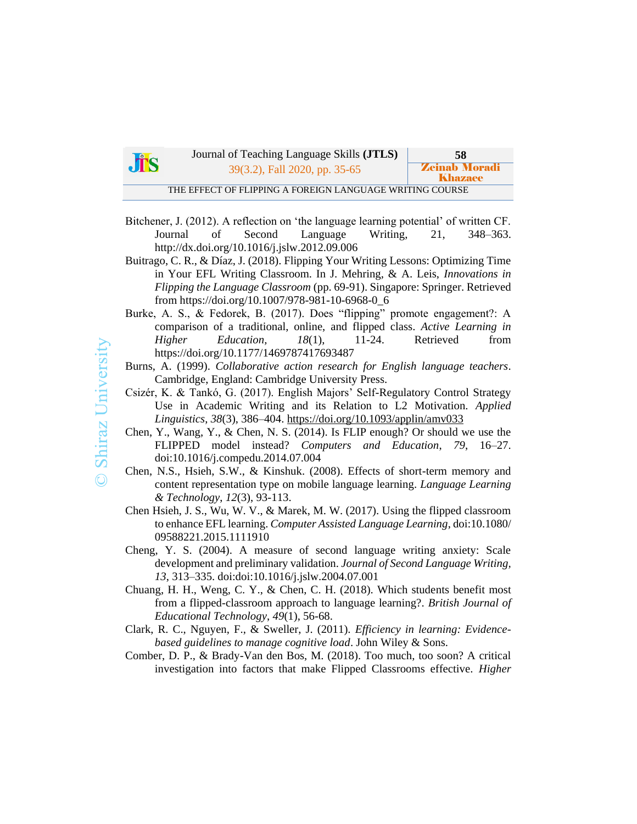| <b>Jis</b> | Journal of Teaching Language Skills ( <b>JTLS</b> )      | -58                             |
|------------|----------------------------------------------------------|---------------------------------|
|            | 39(3.2), Fall 2020, pp. 35-65                            | <b>Zeinab Moradi</b><br>Khazaee |
|            | THE EFFECT OF FLIPPING A FOREIGN LANGUAGE WRITING COURSE |                                 |

- Bitchener, J. (2012). A reflection on 'the language learning potential' of written CF. Journal of Second Language Writing, 21, 348–363. http://dx.doi.org/10.1016/j.jslw.2012.09.006
- Buitrago, C. R., & Díaz, J. (2018). Flipping Your Writing Lessons: Optimizing Time in Your EFL Writing Classroom. In J. Mehring, & A. Leis, *Innovations in Flipping the Language Classroom* (pp. 69-91). Singapore: Springer. Retrieved from https://doi.org/10.1007/978-981-10-6968-0\_6
- Burke, A. S., & Fedorek, B. (2017). Does "flipping" promote engagement?: A comparison of a traditional, online, and flipped class. *Active Learning in Higher Education, 18*(1), 11-24. Retrieved from https://doi.org/10.1177/1469787417693487

Burns, A. (1999). *Collaborative action research for English language teachers*. Cambridge, England: Cambridge University Press.

- Csizér, K. & Tankó, G. (2017). English Majors' Self-Regulatory Control Strategy Use in Academic Writing and its Relation to L2 Motivation. *Applied Linguistics*, *38*(3), 386–404.<https://doi.org/10.1093/applin/amv033>
- Chen, Y., Wang, Y., & Chen, N. S. (2014). Is FLIP enough? Or should we use the FLIPPED model instead? *Computers and Education*, *79*, 16–27. doi:10.1016/j.compedu.2014.07.004
- Chen, N.S., Hsieh, S.W., & Kinshuk. (2008). Effects of short-term memory and content representation type on mobile language learning. *Language Learning & Technology*, *12*(3), 93-113.
- Chen Hsieh, J. S., Wu, W. V., & Marek, M. W. (2017). Using the flipped classroom to enhance EFL learning. *Computer Assisted Language Learning*, doi:10.1080/ 09588221.2015.1111910
- Cheng, Y. S. (2004). A measure of second language writing anxiety: Scale development and preliminary validation. *Journal of Second Language Writing, 13*, 313–335. doi:doi:10.1016/j.jslw.2004.07.001
- Chuang, H. H., Weng, C. Y., & Chen, C. H. (2018). Which students benefit most from a flipped-classroom approach to language learning?. *British Journal of Educational Technology*, *49*(1), 56-68.
- Clark, R. C., Nguyen, F., & Sweller, J. (2011). *Efficiency in learning: Evidencebased guidelines to manage cognitive load*. John Wiley & Sons.
- Comber, D. P., & Brady-Van den Bos, M. (2018). Too much, too soon? A critical investigation into factors that make Flipped Classrooms effective. *Higher*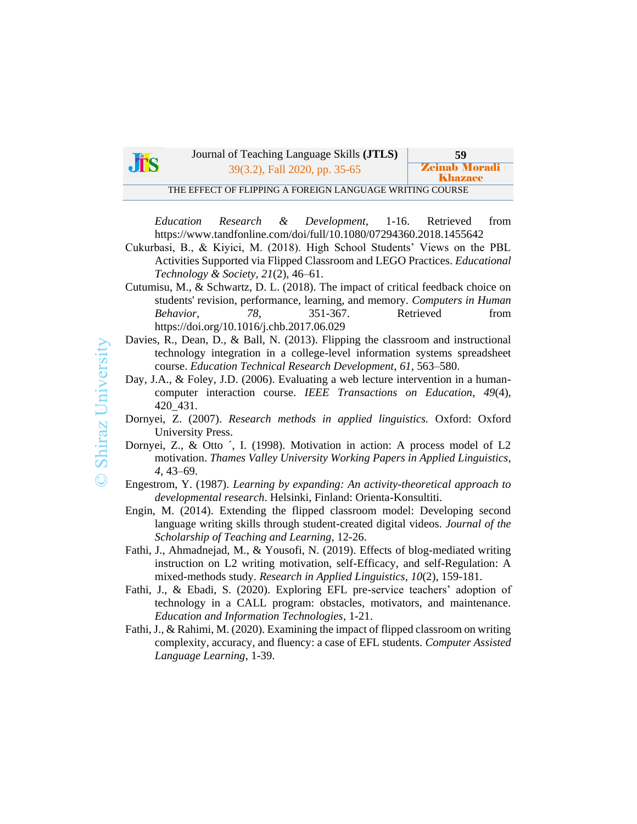|            | Journal of Teaching Language Skills ( <b>JTLS</b> )      | 59                                     |
|------------|----------------------------------------------------------|----------------------------------------|
| <b>JTS</b> | 39(3.2), Fall 2020, pp. 35-65                            | <b>Zeinab Moradi</b><br><b>Khazaee</b> |
|            | THE EFFECT OF FLIPPING A FOREIGN LANGUAGE WRITING COURSE |                                        |

*Education Research & Development*, 1-16. Retrieved from https://www.tandfonline.com/doi/full/10.1080/07294360.2018.1455642

- Cukurbasi, B., & Kiyici, M. (2018). High School Students' Views on the PBL Activities Supported via Flipped Classroom and LEGO Practices. *Educational Technology & Society, 21*(2), 46–61.
- Cutumisu, M., & Schwartz, D. L. (2018). The impact of critical feedback choice on students' revision, performance, learning, and memory. *Computers in Human Behavior,* 78, 351-367. Retrieved from https://doi.org/10.1016/j.chb.2017.06.029
- Davies, R., Dean, D., & Ball, N. (2013). Flipping the classroom and instructional technology integration in a college-level information systems spreadsheet course. *Education Technical Research Development*, *61*, 563–580.
- Day, J.A., & Foley, J.D. (2006). Evaluating a web lecture intervention in a humancomputer interaction course. *IEEE Transactions on Education*, *49*(4), 420\_431.
- Dornyei, Z. (2007). *Research methods in applied linguistics.* Oxford: Oxford University Press.
- Dornyei, Z., & Otto ´, I. (1998). Motivation in action: A process model of L2 motivation. *Thames Valley University Working Papers in Applied Linguistics*, *4*, 43–69.
- Engestrom, Y. (1987). *Learning by expanding: An activity-theoretical approach to developmental research*. Helsinki, Finland: Orienta-Konsultiti.
- Engin, M. (2014). Extending the flipped classroom model: Developing second language writing skills through student-created digital videos. *Journal of the Scholarship of Teaching and Learning*, 12-26.
- Fathi, J., Ahmadnejad, M., & Yousofi, N. (2019). Effects of blog-mediated writing instruction on L2 writing motivation, self-Efficacy, and self-Regulation: A mixed-methods study. *Research in Applied Linguistics*, *10*(2), 159-181.
- Fathi, J., & Ebadi, S. (2020). Exploring EFL pre-service teachers' adoption of technology in a CALL program: obstacles, motivators, and maintenance. *Education and Information Technologies*, 1-21.
- Fathi, J., & Rahimi, M. (2020). Examining the impact of flipped classroom on writing complexity, accuracy, and fluency: a case of EFL students. *Computer Assisted Language Learning*, 1-39.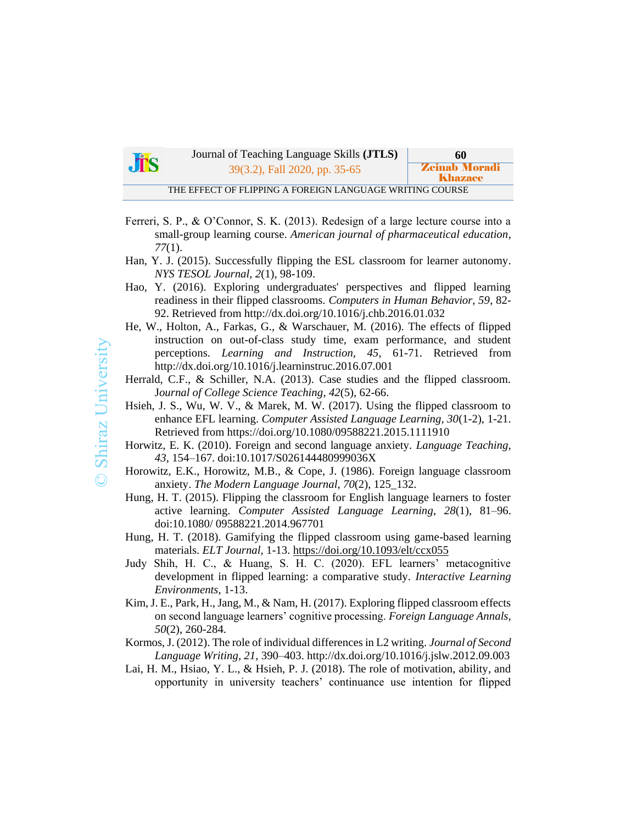| $J\mathring{T}S$ | Journal of Teaching Language Skills ( <b>JTLS</b> )      | 60                              |  |  |  |  |
|------------------|----------------------------------------------------------|---------------------------------|--|--|--|--|
|                  | 39(3.2), Fall 2020, pp. 35-65                            | <b>Zeinab Moradi</b><br>Khazaee |  |  |  |  |
|                  | THE EFFECT OF FLIPPING A FOREIGN LANGUAGE WRITING COURSE |                                 |  |  |  |  |

- Ferreri, S. P., & O'Connor, S. K. (2013). Redesign of a large lecture course into a small-group learning course. *American journal of pharmaceutical education*, *77*(1).
- Han, Y. J. (2015). Successfully flipping the ESL classroom for learner autonomy. *NYS TESOL Journal*, *2*(1), 98-109.
- Hao, Y. (2016). Exploring undergraduates' perspectives and flipped learning readiness in their flipped classrooms. *Computers in Human Behavior, 59*, 82- 92. Retrieved from http://dx.doi.org/10.1016/j.chb.2016.01.032
- He, W., Holton, A., Farkas, G., & Warschauer, M. (2016). The effects of flipped instruction on out-of-class study time, exam performance, and student perceptions. *Learning and Instruction, 45*, 61-71. Retrieved from http://dx.doi.org/10.1016/j.learninstruc.2016.07.001
- Herrald, C.F., & Schiller, N.A. (2013). Case studies and the flipped classroom. J*ournal of College Science Teaching*, *42*(5), 62-66.
- Hsieh, J. S., Wu, W. V., & Marek, M. W. (2017). Using the flipped classroom to enhance EFL learning. *Computer Assisted Language Learning, 30*(1-2), 1-21. Retrieved from https://doi.org/10.1080/09588221.2015.1111910
- Horwitz, E. K. (2010). Foreign and second language anxiety. *Language Teaching*, *43*, 154–167. doi:10.1017/S026144480999036X
- Horowitz, E.K., Horowitz, M.B., & Cope, J. (1986). Foreign language classroom anxiety. *The Modern Language Journal*, *70*(2), 125\_132.
- Hung, H. T. (2015). Flipping the classroom for English language learners to foster active learning. *Computer Assisted Language Learning*, *28*(1), 81–96. doi:10.1080/ 09588221.2014.967701
- Hung, H. T. (2018). Gamifying the flipped classroom using game-based learning materials. *ELT Journal,* 1-13. <https://doi.org/10.1093/elt/ccx055>
- Judy Shih, H. C., & Huang, S. H. C. (2020). EFL learners' metacognitive development in flipped learning: a comparative study. *Interactive Learning Environments*, 1-13.
- Kim, J. E., Park, H., Jang, M., & Nam, H. (2017). Exploring flipped classroom effects on second language learners' cognitive processing. *Foreign Language Annals*, *50*(2), 260-284.
- Kormos, J. (2012). The role of individual differences in L2 writing. *Journal of Second Language Writing, 21*, 390–403. http://dx.doi.org/10.1016/j.jslw.2012.09.003
- Lai, H. M., Hsiao, Y. L., & Hsieh, P. J. (2018). The role of motivation, ability, and opportunity in university teachers' continuance use intention for flipped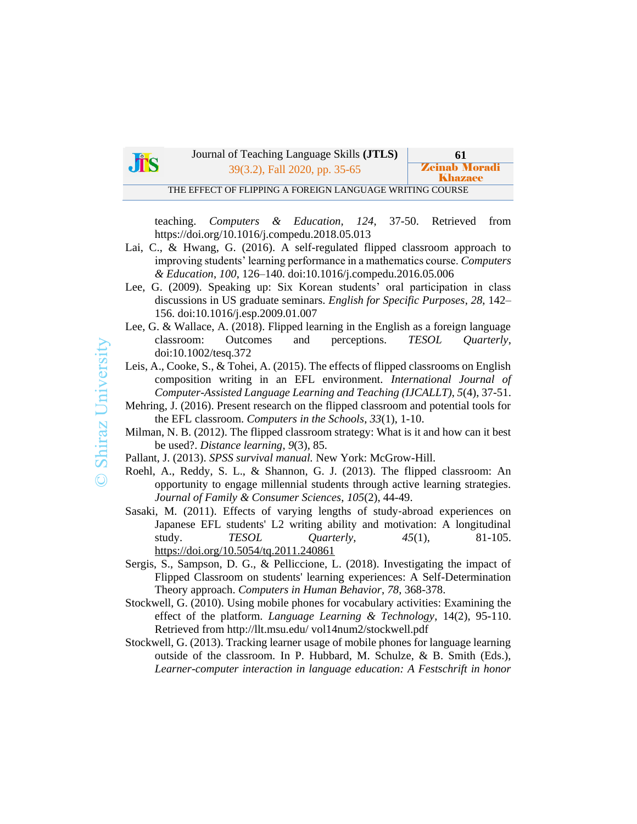

Journal of Teaching Language Skills **(JTLS) 61** 39(3.2), Fall 2020, pp. 35-65 **Zeinab Moradi** 

THE EFFECT OF FLIPPING A FOREIGN LANGUAGE WRITING COURSE

teaching. *Computers & Education, 124*, 37-50. Retrieved from https://doi.org/10.1016/j.compedu.2018.05.013

Khazaee

- Lai, C., & Hwang, G. (2016). A self-regulated flipped classroom approach to improving students' learning performance in a mathematics course. *Computers & Education*, *100*, 126–140. doi:10.1016/j.compedu.2016.05.006
- Lee, G. (2009). Speaking up: Six Korean students' oral participation in class discussions in US graduate seminars. *English for Specific Purposes*, *28*, 142– 156. doi:10.1016/j.esp.2009.01.007
- Lee, G. & Wallace, A. (2018). Flipped learning in the English as a foreign language classroom: Outcomes and perceptions. *TESOL Quarterly*, doi:10.1002/tesq.372
- Leis, A., Cooke, S., & Tohei, A. (2015). The effects of flipped classrooms on English composition writing in an EFL environment. *International Journal of Computer-Assisted Language Learning and Teaching (IJCALLT)*, *5*(4), 37-51.
- Mehring, J. (2016). Present research on the flipped classroom and potential tools for the EFL classroom. *Computers in the Schools*, *33*(1), 1-10.
- Milman, N. B. (2012). The flipped classroom strategy: What is it and how can it best be used?. *Distance learning*, *9*(3), 85.
- Pallant, J. (2013). *SPSS survival manual.* New York: McGrow-Hill.
- Roehl, A., Reddy, S. L., & Shannon, G. J. (2013). The flipped classroom: An opportunity to engage millennial students through active learning strategies. *Journal of Family & Consumer Sciences*, *105*(2), 44-49.
- Sasaki, M. (2011). Effects of varying lengths of study‐abroad experiences on Japanese EFL students' L2 writing ability and motivation: A longitudinal study. *TESOL Quarterly, 45*(1), 81-105. <https://doi.org/10.5054/tq.2011.240861>
- Sergis, S., Sampson, D. G., & Pelliccione, L. (2018). Investigating the impact of Flipped Classroom on students' learning experiences: A Self-Determination Theory approach. *Computers in Human Behavior*, *78*, 368-378.
- Stockwell, G. (2010). Using mobile phones for vocabulary activities: Examining the effect of the platform. *Language Learning & Technology*, 14(2), 95-110. Retrieved from http://llt.msu.edu/ vol14num2/stockwell.pdf
- Stockwell, G. (2013). Tracking learner usage of mobile phones for language learning outside of the classroom. In P. Hubbard, M. Schulze, & B. Smith (Eds.), *Learner-computer interaction in language education: A Festschrift in honor*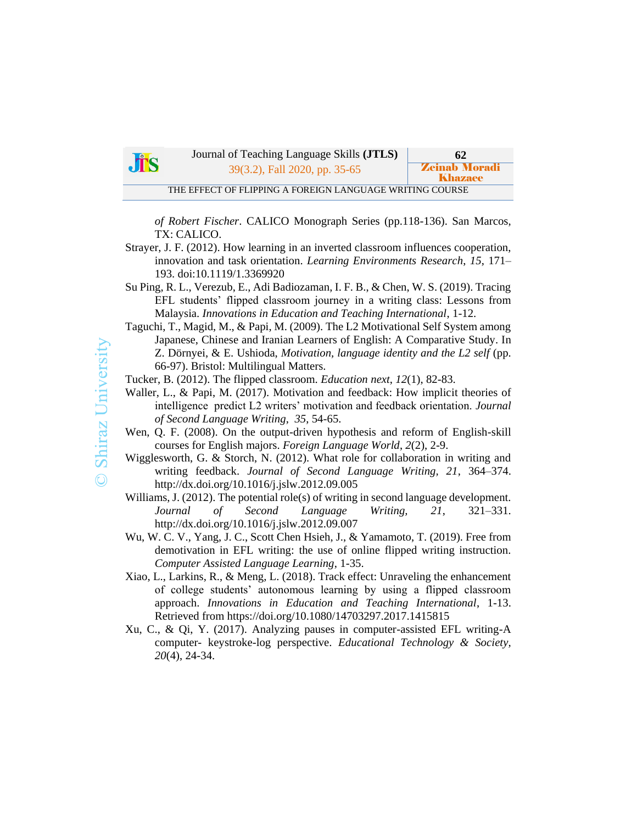

Journal of Teaching Language Skills **(JTLS) 62** 39(3.2), Fall 2020, pp. 35-65 **Zeinab Morad** 

THE EFFECT OF FLIPPING A FOREIGN LANGUAGE WRITING COURSE

*of Robert Fischer*. CALICO Monograph Series (pp.118-136). San Marcos, TX: CALICO.

Khazaee

- Strayer, J. F. (2012). How learning in an inverted classroom influences cooperation, innovation and task orientation. *Learning Environments Research*, *15*, 171– 193. doi:10.1119/1.3369920
- Su Ping, R. L., Verezub, E., Adi Badiozaman, I. F. B., & Chen, W. S. (2019). Tracing EFL students' flipped classroom journey in a writing class: Lessons from Malaysia. *Innovations in Education and Teaching International*, 1-12.
- Taguchi, T., Magid, M., & Papi, M. (2009). The L2 Motivational Self System among Japanese, Chinese and Iranian Learners of English: A Comparative Study. In Z. Dörnyei, & E. Ushioda, *Motivation, language identity and the L2 self* (pp. 66-97). Bristol: Multilingual Matters.

Tucker, B. (2012). The flipped classroom. *Education next*, *12*(1), 82-83.

- Waller, L., & Papi, M. (2017). Motivation and feedback: How implicit theories of intelligence predict L2 writers' motivation and feedback orientation. *Journal of Second Language Writing*, *35*, 54-65.
- Wen, Q. F. (2008). On the output-driven hypothesis and reform of English-skill courses for English majors. *Foreign Language World*, *2*(2), 2-9.
- Wigglesworth, G. & Storch, N. (2012). What role for collaboration in writing and writing feedback. *Journal of Second Language Writing, 21*, 364–374. http://dx.doi.org/10.1016/j.jslw.2012.09.005
- Williams, J. (2012). The potential role(s) of writing in second language development. *Journal of Second Language Writing, 21*, 321–331. http://dx.doi.org/10.1016/j.jslw.2012.09.007
- Wu, W. C. V., Yang, J. C., Scott Chen Hsieh, J., & Yamamoto, T. (2019). Free from demotivation in EFL writing: the use of online flipped writing instruction. *Computer Assisted Language Learning*, 1-35.
- Xiao, L., Larkins, R., & Meng, L. (2018). Track effect: Unraveling the enhancement of college students' autonomous learning by using a flipped classroom approach. *Innovations in Education and Teaching International*, 1-13. Retrieved from https://doi.org/10.1080/14703297.2017.1415815
- Xu, C., & Qi, Y. (2017). Analyzing pauses in computer-assisted EFL writing-A computer- keystroke-log perspective. *Educational Technology & Society, 20*(4), 24-34.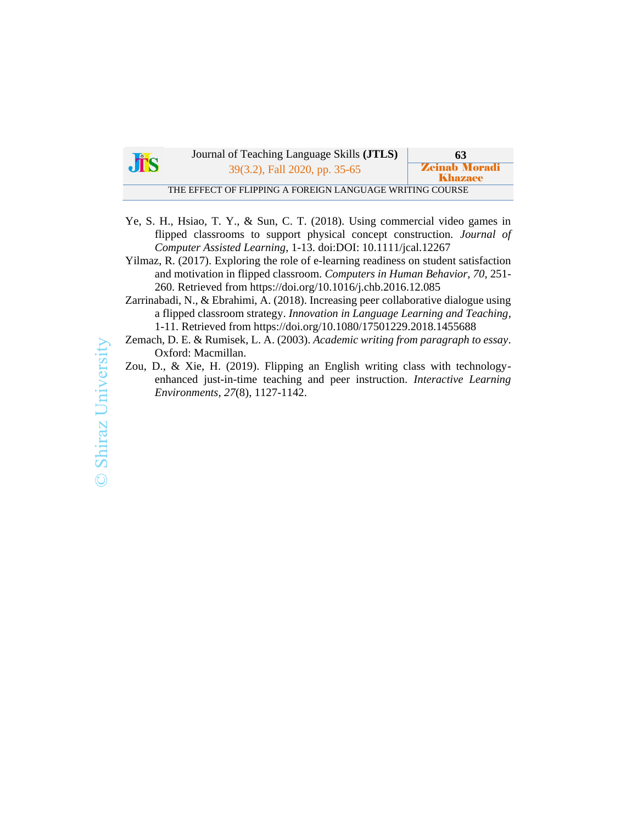| <b>JTS</b> | Journal of Teaching Language Skills ( <b>JTLS</b> )      | -63                             |
|------------|----------------------------------------------------------|---------------------------------|
|            | 39(3.2), Fall 2020, pp. 35-65                            | <b>Zeinab Moradi</b><br>Khazaee |
|            | THE EFFECT OF FLIPPING A FOREIGN LANGUAGE WRITING COURSE |                                 |

- Ye, S. H., Hsiao, T. Y., & Sun, C. T. (2018). Using commercial video games in flipped classrooms to support physical concept construction. *Journal of Computer Assisted Learning*, 1-13. doi:DOI: 10.1111/jcal.12267
- Yilmaz, R. (2017). Exploring the role of e-learning readiness on student satisfaction and motivation in flipped classroom. *Computers in Human Behavior, 70*, 251- 260. Retrieved from https://doi.org/10.1016/j.chb.2016.12.085
- Zarrinabadi, N., & Ebrahimi, A. (2018). Increasing peer collaborative dialogue using a flipped classroom strategy. *Innovation in Language Learning and Teaching*, 1-11. Retrieved from https://doi.org/10.1080/17501229.2018.1455688
- Zemach, D. E. & Rumisek, L. A. (2003). *Academic writing from paragraph to essay*. Oxford: Macmillan.
- Zou, D., & Xie, H. (2019). Flipping an English writing class with technologyenhanced just-in-time teaching and peer instruction. *Interactive Learning Environments*, *27*(8), 1127-1142.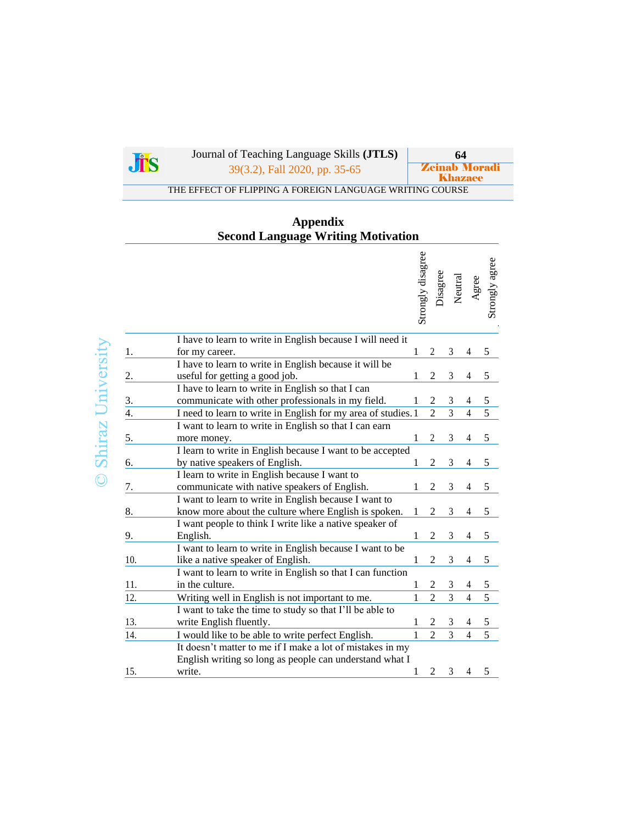

**Shiraz University** 

Journal of Teaching Language Skills **(JTLS)**<br>
<sup>39</sup>(3.2) Fall 2020 pp. 35-65<br> *Zeinab Moradi* 

39(3.2), Fall 2020, pp. 35-65

**Khazaee** THE EFFECT OF FLIPPING A FOREIGN LANGUAGE WRITING COURSE

# **Appendix Second Language Writing Motivation**

|               |                                                               |              | Strongly disagree | Disagree       | Neutral        | Agree          | Strongly agree |
|---------------|---------------------------------------------------------------|--------------|-------------------|----------------|----------------|----------------|----------------|
|               | I have to learn to write in English because I will need it    |              |                   |                |                |                |                |
| 1.            | for my career.                                                | 1            |                   | 2              | 3              |                | 5              |
|               | I have to learn to write in English because it will be        |              |                   |                |                |                |                |
| 2.            | useful for getting a good job.                                | 1            |                   | $\overline{c}$ | 3              | 4              | $\mathfrak s$  |
|               | I have to learn to write in English so that I can             |              |                   |                |                |                |                |
| $\frac{3}{4}$ | communicate with other professionals in my field.             |              |                   | 2              | 3              | 4              | $\mathfrak s$  |
|               | I need to learn to write in English for my area of studies. 1 |              |                   | $\overline{2}$ | $\overline{3}$ | $\overline{4}$ | $\overline{5}$ |
|               | I want to learn to write in English so that I can earn        |              |                   |                |                |                |                |
| 5.            | more money.                                                   | 1            |                   | $\overline{2}$ | 3              | 4              | $\mathfrak s$  |
|               | I learn to write in English because I want to be accepted     |              |                   |                |                |                |                |
| 6.            | by native speakers of English.                                |              |                   | 2              | 3              |                | 5              |
|               | I learn to write in English because I want to                 |              |                   |                |                |                |                |
| 7.            | communicate with native speakers of English.                  |              |                   |                | 3              |                | 5              |
|               | I want to learn to write in English because I want to         |              |                   |                |                |                |                |
| 8.            | know more about the culture where English is spoken.          | 1            |                   | 2              | 3              | 4              | 5              |
|               | I want people to think I write like a native speaker of       |              |                   |                |                |                |                |
| 9.            | English.                                                      | 1            |                   | $\overline{c}$ | 3              | 4              | $\mathfrak s$  |
|               | I want to learn to write in English because I want to be      |              |                   |                |                |                |                |
| 10.           | like a native speaker of English.                             | 1            |                   | 2              | 3              | 4              | 5              |
|               | I want to learn to write in English so that I can function    |              |                   |                |                |                |                |
| 11.           | in the culture.                                               | $\mathbf{1}$ |                   | 2              | 3              | 4              | $\sqrt{5}$     |
| 12.           | Writing well in English is not important to me.               | 1            |                   | $\overline{2}$ | $\overline{3}$ | $\overline{4}$ | $\overline{5}$ |
|               | I want to take the time to study so that I'll be able to      |              |                   |                |                |                |                |
| 13.           | write English fluently.                                       | 1            |                   | 2              | 3              | 4              | $\mathfrak s$  |
| 14.           | I would like to be able to write perfect English.             | $\mathbf{1}$ |                   | $\overline{2}$ | $\overline{3}$ | $\overline{4}$ | $\overline{5}$ |
|               | It doesn't matter to me if I make a lot of mistakes in my     |              |                   |                |                |                |                |
|               | English writing so long as people can understand what I       |              |                   |                |                |                |                |
| 15.           | write.                                                        | 1            |                   | $\overline{c}$ | 3              | 4              | 5              |